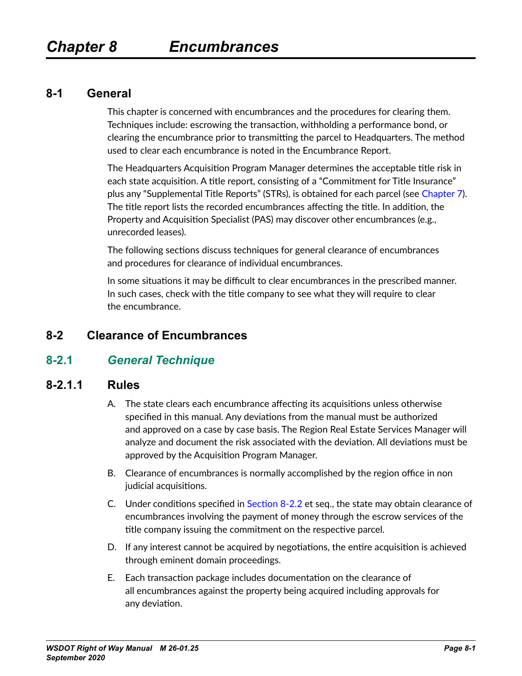#### <span id="page-0-1"></span>**8-1 General**

This chapter is concerned with encumbrances and the procedures for clearing them. Techniques include: escrowing the transaction, withholding a performance bond, or clearing the encumbrance prior to transmitting the parcel to Headquarters. The method used to clear each encumbrance is noted in the Encumbrance Report.

The Headquarters Acquisition Program Manager determines the acceptable title risk in each state acquisition. A title report, consisting of a "Commitment for Title Insurance" plus any "Supplemental Title Reports" (STRs), is obtained for each parcel (see Chapter 7). The title report lists the recorded encumbrances affecting the title. In addition, the Property and Acquisition Specialist (PAS) may discover other encumbrances (e.g., unrecorded leases).

The following sections discuss techniques for general clearance of encumbrances and procedures for clearance of individual encumbrances.

In some situations it may be difficult to clear encumbrances in the prescribed manner. In such cases, check with the title company to see what they will require to clear the encumbrance.

## **8-2 Clearance of Encumbrances**

## **8-2.1** *General Technique*

#### **8-2.1.1 Rules**

- <span id="page-0-0"></span>A. The state clears each encumbrance affecting its acquisitions unless otherwise specified in this manual. Any deviations from the manual must be authorized and approved on a case by case basis. The Region Real Estate Services Manager will analyze and document the risk associated with the deviation. All deviations must be approved by the Acquisition Program Manager.
- B. Clearance of encumbrances is normally accomplished by the region office in non judicial acquisitions.
- C. Under conditions specified in [Section 8-2.2](#page-1-0) et seq., the state may obtain clearance of encumbrances involving the payment of money through the escrow services of the title company issuing the commitment on the respective parcel.
- D. If any interest cannot be acquired by negotiations, the entire acquisition is achieved through eminent domain proceedings.
- E. Each transaction package includes documentation on the clearance of all encumbrances against the property being acquired including approvals for any deviation.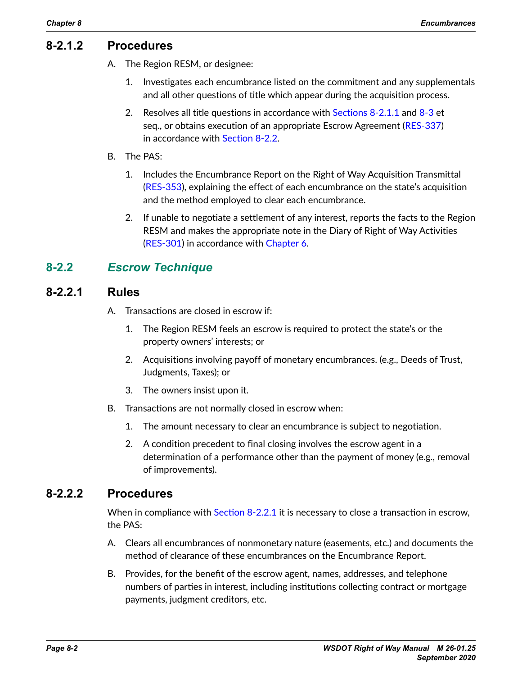#### **8-2.1.2 Procedures**

- A. The Region RESM, or designee:
	- 1. Investigates each encumbrance listed on the commitment and any supplementals and all other questions of title which appear during the acquisition process.
	- 2. Resolves all title questions in accordance with Sections  $8-2.1.1$  and  $8-3$  et seq., or obtains execution of an appropriate Escrow Agreement [\(RES-337\)](http://wwwi.wsdot.wa.gov/Design/RealEstateServices/AcquisitionForms.htm) in accordance with [Section 8-2.2](#page-1-0).
- B. The PAS:
	- 1. Includes the Encumbrance Report on the Right of Way Acquisition Transmittal ([RES-353](http://wwwi.wsdot.wa.gov/Design/RealEstateServices/AcquisitionForms.htm)), explaining the effect of each encumbrance on the state's acquisition and the method employed to clear each encumbrance.
	- 2. If unable to negotiate a settlement of any interest, reports the facts to the Region RESM and makes the appropriate note in the Diary of Right of Way Activities ([RES-301](http://wwwi.wsdot.wa.gov/Design/RealEstateServices/AcquisitionForms.htm)) in accordance with Chapter 6.

## **8-2.2** *Escrow Technique*

#### **8-2.2.1 Rules**

- <span id="page-1-1"></span><span id="page-1-0"></span>A. Transactions are closed in escrow if:
	- 1. The Region RESM feels an escrow is required to protect the state's or the property owners' interests; or
	- 2. Acquisitions involving payoff of monetary encumbrances. (e.g., Deeds of Trust, Judgments, Taxes); or
	- 3. The owners insist upon it.
- B. Transactions are not normally closed in escrow when:
	- 1. The amount necessary to clear an encumbrance is subject to negotiation.
	- 2. A condition precedent to final closing involves the escrow agent in a determination of a performance other than the payment of money (e.g., removal of improvements).

## **8-2.2.2 Procedures**

When in compliance with [Section 8-2.2.1](#page-1-1) it is necessary to close a transaction in escrow, the PAS:

- A. Clears all encumbrances of nonmonetary nature (easements, etc.) and documents the method of clearance of these encumbrances on the Encumbrance Report.
- B. Provides, for the benefit of the escrow agent, names, addresses, and telephone numbers of parties in interest, including institutions collecting contract or mortgage payments, judgment creditors, etc.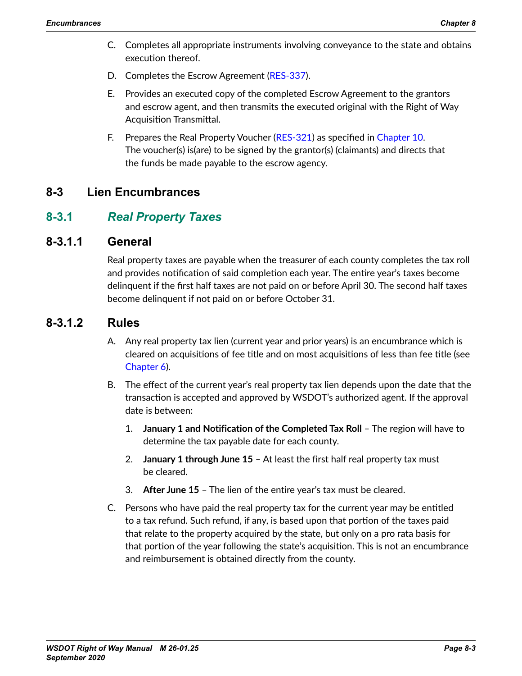- C. Completes all appropriate instruments involving conveyance to the state and obtains execution thereof.
- D. Completes the Escrow Agreement [\(RES-337\)](http://wwwi.wsdot.wa.gov/Design/RealEstateServices/AcquisitionForms.htm).
- E. Provides an executed copy of the completed Escrow Agreement to the grantors and escrow agent, and then transmits the executed original with the Right of Way Acquisition Transmittal.
- <span id="page-2-0"></span>F. Prepares the Real Property Voucher ([RES-321](http://wwwi.wsdot.wa.gov/Design/RealEstateServices/AcquisitionForms.htm)) as specified in Chapter 10. The voucher(s) is(are) to be signed by the grantor(s) (claimants) and directs that the funds be made payable to the escrow agency.

## **8-3 Lien Encumbrances**

## **8-3.1** *Real Property Taxes*

#### **8-3.1.1 General**

Real property taxes are payable when the treasurer of each county completes the tax roll and provides notification of said completion each year. The entire year's taxes become delinquent if the first half taxes are not paid on or before April 30. The second half taxes become delinquent if not paid on or before October 31.

## **8-3.1.2 Rules**

- A. Any real property tax lien (current year and prior years) is an encumbrance which is cleared on acquisitions of fee title and on most acquisitions of less than fee title (see Chapter 6).
- B. The effect of the current year's real property tax lien depends upon the date that the transaction is accepted and approved by WSDOT's authorized agent. If the approval date is between:
	- 1. **January 1 and Notification of the Completed Tax Roll** The region will have to determine the tax payable date for each county.
	- 2. **January 1 through June 15** At least the first half real property tax must be cleared.
	- 3. **After June 15** The lien of the entire year's tax must be cleared.
- C. Persons who have paid the real property tax for the current year may be entitled to a tax refund. Such refund, if any, is based upon that portion of the taxes paid that relate to the property acquired by the state, but only on a pro rata basis for that portion of the year following the state's acquisition. This is not an encumbrance and reimbursement is obtained directly from the county.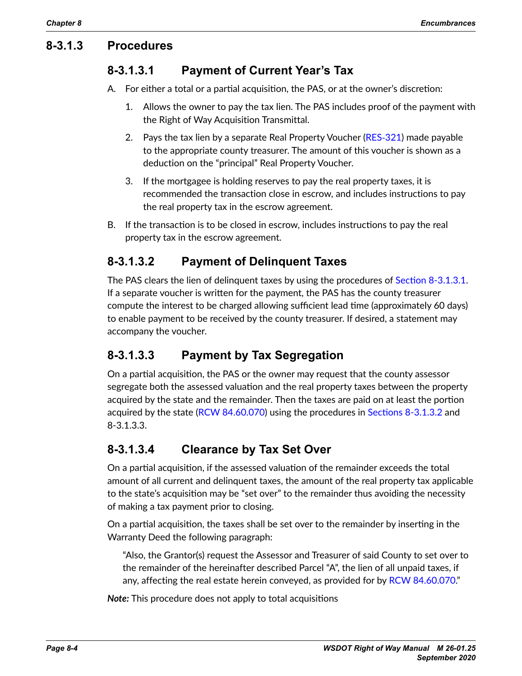## **8-3.1.3 Procedures**

## **8-3.1.3.1 Payment of Current Year's Tax**

A. For either a total or a partial acquisition, the PAS, or at the owner's discretion:

- <span id="page-3-0"></span>1. Allows the owner to pay the tax lien. The PAS includes proof of the payment with the Right of Way Acquisition Transmittal.
- 2. Pays the tax lien by a separate Real Property Voucher [\(RES](http://wwwi.wsdot.wa.gov/Design/RealEstateServices/AcquisitionForms.htm)‑321) made payable to the appropriate county treasurer. The amount of this voucher is shown as a deduction on the "principal" Real Property Voucher.
- <span id="page-3-1"></span>3. If the mortgagee is holding reserves to pay the real property taxes, it is recommended the transaction close in escrow, and includes instructions to pay the real property tax in the escrow agreement.
- B. If the transaction is to be closed in escrow, includes instructions to pay the real property tax in the escrow agreement.

## **8-3.1.3.2 Payment of Delinquent Taxes**

The PAS clears the lien of delinquent taxes by using the procedures of Section [8-3.1.3.1](#page-3-0). If a separate voucher is written for the payment, the PAS has the county treasurer compute the interest to be charged allowing sufficient lead time (approximately 60 days) to enable payment to be received by the county treasurer. If desired, a statement may accompany the voucher.

## **8-3.1.3.3 Payment by Tax Segregation**

On a partial acquisition, the PAS or the owner may request that the county assessor segregate both the assessed valuation and the real property taxes between the property acquired by the state and the remainder. Then the taxes are paid on at least the portion acquired by the state ([RCW 84.60.070\)](http://apps.leg.wa.gov/RCW/default.aspx?cite=84.60.070) using the procedures in [Sections 8-3.1.3.2](#page-3-1) and 8-3.1.3.3.

## **8-3.1.3.4 Clearance by Tax Set Over**

On a partial acquisition, if the assessed valuation of the remainder exceeds the total amount of all current and delinquent taxes, the amount of the real property tax applicable to the state's acquisition may be "set over" to the remainder thus avoiding the necessity of making a tax payment prior to closing.

On a partial acquisition, the taxes shall be set over to the remainder by inserting in the Warranty Deed the following paragraph:

"Also, the Grantor(s) request the Assessor and Treasurer of said County to set over to the remainder of the hereinafter described Parcel "A", the lien of all unpaid taxes, if any, affecting the real estate herein conveyed, as provided for by RCW [84.60.070.](http://apps.leg.wa.gov/RCW/default.aspx?cite=84.60.070)"

*Note:* This procedure does not apply to total acquisitions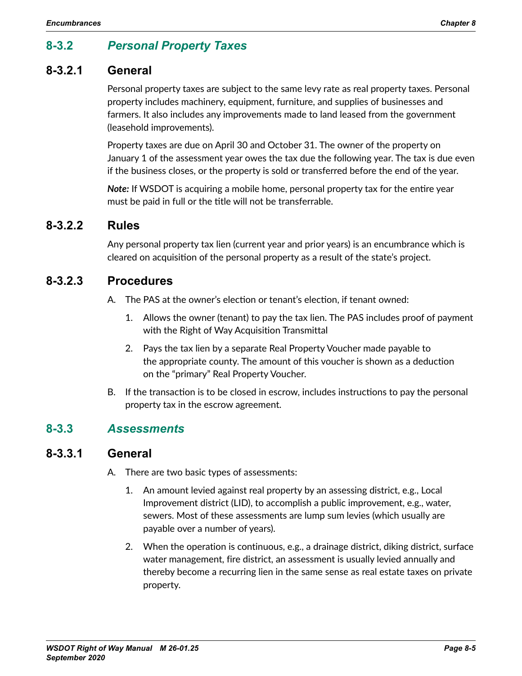# **8-3.2** *Personal Property Taxes*

## **8-3.2.1 General**

Personal property taxes are subject to the same levy rate as real property taxes. Personal property includes machinery, equipment, furniture, and supplies of businesses and farmers. It also includes any improvements made to land leased from the government (leasehold improvements).

Property taxes are due on April 30 and October 31. The owner of the property on January 1 of the assessment year owes the tax due the following year. The tax is due even if the business closes, or the property is sold or transferred before the end of the year.

*Note:* If WSDOT is acquiring a mobile home, personal property tax for the entire year must be paid in full or the title will not be transferrable.

#### **8-3.2.2 Rules**

Any personal property tax lien (current year and prior years) is an encumbrance which is cleared on acquisition of the personal property as a result of the state's project.

#### **8-3.2.3 Procedures**

- A. The PAS at the owner's election or tenant's election, if tenant owned:
	- 1. Allows the owner (tenant) to pay the tax lien. The PAS includes proof of payment with the Right of Way Acquisition Transmittal
	- 2. Pays the tax lien by a separate Real Property Voucher made payable to the appropriate county. The amount of this voucher is shown as a deduction on the "primary" Real Property Voucher.
- B. If the transaction is to be closed in escrow, includes instructions to pay the personal property tax in the escrow agreement.

## **8-3.3** *Assessments*

## **8-3.3.1 General**

- A. There are two basic types of assessments:
	- 1. An amount levied against real property by an assessing district, e.g., Local Improvement district (LID), to accomplish a public improvement, e.g., water, sewers. Most of these assessments are lump sum levies (which usually are payable over a number of years).
	- 2. When the operation is continuous, e.g., a drainage district, diking district, surface water management, fire district, an assessment is usually levied annually and thereby become a recurring lien in the same sense as real estate taxes on private property.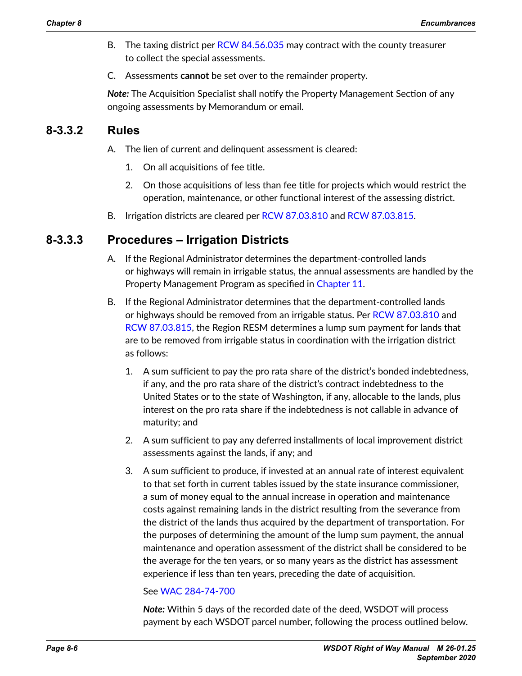- B. The taxing district per [RCW 84.56.035](http://apps.leg.wa.gov/RCW/default.aspx?cite=84.56.035) may contract with the county treasurer to collect the special assessments.
- C. Assessments **cannot** be set over to the remainder property.

*Note:* The Acquisition Specialist shall notify the Property Management Section of any ongoing assessments by Memorandum or email.

## **8-3.3.2 Rules**

- A. The lien of current and delinquent assessment is cleared:
	- 1. On all acquisitions of fee title.
	- 2. On those acquisitions of less than fee title for projects which would restrict the operation, maintenance, or other functional interest of the assessing district.
- B. Irrigation districts are cleared per [RCW 87.03.810](http://apps.leg.wa.gov/RCW/default.aspx?cite=87.03.810) and RCW [87.03.815](http://apps.leg.wa.gov/RCW/default.aspx?cite=87.03.815).

## **8-3.3.3 Procedures – Irrigation Districts**

- A. If the Regional Administrator determines the department-controlled lands or highways will remain in irrigable status, the annual assessments are handled by the Property Management Program as specified in Chapter 11.
- B. If the Regional Administrator determines that the department-controlled lands or highways should be removed from an irrigable status. Per RCW [87.03.810](http://apps.leg.wa.gov/RCW/default.aspx?cite=87.03.810) and [RCW 87.03.815](http://apps.leg.wa.gov/RCW/default.aspx?cite=87.03.815), the Region RESM determines a lump sum payment for lands that are to be removed from irrigable status in coordination with the irrigation district as follows:
	- 1. A sum sufficient to pay the pro rata share of the district's bonded indebtedness, if any, and the pro rata share of the district's contract indebtedness to the United States or to the state of Washington, if any, allocable to the lands, plus interest on the pro rata share if the indebtedness is not callable in advance of maturity; and
	- 2. A sum sufficient to pay any deferred installments of local improvement district assessments against the lands, if any; and
	- 3. A sum sufficient to produce, if invested at an annual rate of interest equivalent to that set forth in current tables issued by the state insurance commissioner, a sum of money equal to the annual increase in operation and maintenance costs against remaining lands in the district resulting from the severance from the district of the lands thus acquired by the department of transportation. For the purposes of determining the amount of the lump sum payment, the annual maintenance and operation assessment of the district shall be considered to be the average for the ten years, or so many years as the district has assessment experience if less than ten years, preceding the date of acquisition.

#### See [WAC 284-74-700](https://app.leg.wa.gov/WAC/default.aspx?cite=284-74-700)

*Note:* Within 5 days of the recorded date of the deed, WSDOT will process payment by each WSDOT parcel number, following the process outlined below.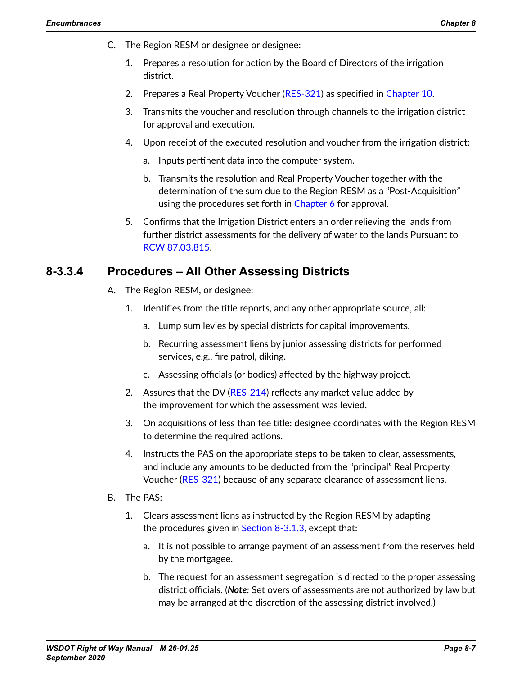- C. The Region RESM or designee or designee:
	- 1. Prepares a resolution for action by the Board of Directors of the irrigation district.
	- 2. Prepares a Real Property Voucher [\(RES-321\)](http://wwwi.wsdot.wa.gov/Design/RealEstateServices/AcquisitionForms.htm) as specified in Chapter 10.
	- 3. Transmits the voucher and resolution through channels to the irrigation district for approval and execution.
	- 4. Upon receipt of the executed resolution and voucher from the irrigation district:
		- a. Inputs pertinent data into the computer system.
		- b. Transmits the resolution and Real Property Voucher together with the determination of the sum due to the Region RESM as a "Post-Acquisition" using the procedures set forth in Chapter 6 for approval.
	- 5. Confirms that the Irrigation District enters an order relieving the lands from further district assessments for the delivery of water to the lands Pursuant to [RCW 87.03.815](http://apps.leg.wa.gov/RCW/default.aspx?cite=87.03.815).

## **8-3.3.4 Procedures – All Other Assessing Districts**

- A. The Region RESM, or designee:
	- 1. Identifies from the title reports, and any other appropriate source, all:
		- a. Lump sum levies by special districts for capital improvements.
		- b. Recurring assessment liens by junior assessing districts for performed services, e.g., fire patrol, diking.
		- c. Assessing officials (or bodies) affected by the highway project.
	- 2. Assures that the DV [\(RES-214\)](http://www.wsdot.wa.gov/RealEstate/forms/Appraisal/default.htm) reflects any market value added by the improvement for which the assessment was levied.
	- 3. On acquisitions of less than fee title: designee coordinates with the Region RESM to determine the required actions.
	- 4. Instructs the PAS on the appropriate steps to be taken to clear, assessments, and include any amounts to be deducted from the "principal" Real Property Voucher ([RES-321](http://wwwi.wsdot.wa.gov/Design/RealEstateServices/AcquisitionForms.htm)) because of any separate clearance of assessment liens.
- B. The PAS:
	- 1. Clears assessment liens as instructed by the Region RESM by adapting the procedures given in [Section 8-3.1.3](#page-3-1), except that:
		- a. It is not possible to arrange payment of an assessment from the reserves held by the mortgagee.
		- b. The request for an assessment segregation is directed to the proper assessing district officials. (*Note:* Set overs of assessments are *not* authorized by law but may be arranged at the discretion of the assessing district involved.)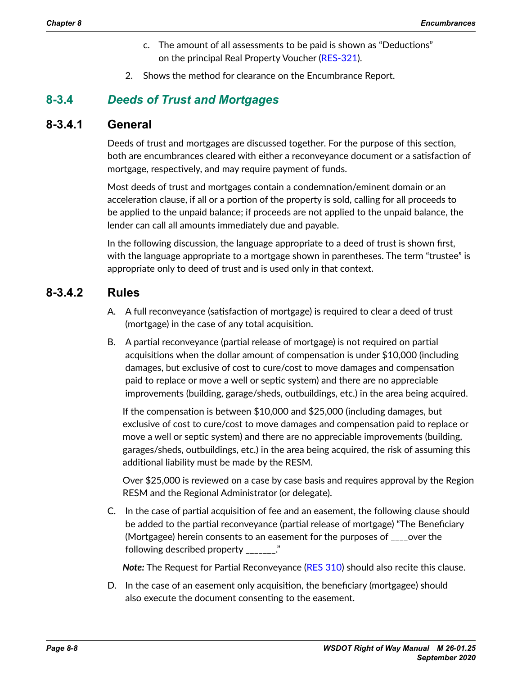- c. The amount of all assessments to be paid is shown as "Deductions" on the principal Real Property Voucher ([RES-321](http://wwwi.wsdot.wa.gov/Design/RealEstateServices/AcquisitionForms.htm)).
- 2. Shows the method for clearance on the Encumbrance Report.

## **8-3.4** *Deeds of Trust and Mortgages*

## **8-3.4.1 General**

Deeds of trust and mortgages are discussed together. For the purpose of this section, both are encumbrances cleared with either a reconveyance document or a satisfaction of mortgage, respectively, and may require payment of funds.

Most deeds of trust and mortgages contain a condemnation/eminent domain or an acceleration clause, if all or a portion of the property is sold, calling for all proceeds to be applied to the unpaid balance; if proceeds are not applied to the unpaid balance, the lender can call all amounts immediately due and payable.

In the following discussion, the language appropriate to a deed of trust is shown first, with the language appropriate to a mortgage shown in parentheses. The term "trustee" is appropriate only to deed of trust and is used only in that context.

## **8-3.4.2 Rules**

- A. A full reconveyance (satisfaction of mortgage) is required to clear a deed of trust (mortgage) in the case of any total acquisition.
- B. A partial reconveyance (partial release of mortgage) is not required on partial acquisitions when the dollar amount of compensation is under \$10,000 (including damages, but exclusive of cost to cure/cost to move damages and compensation paid to replace or move a well or septic system) and there are no appreciable improvements (building, garage/sheds, outbuildings, etc.) in the area being acquired.

If the compensation is between \$10,000 and \$25,000 (including damages, but exclusive of cost to cure/cost to move damages and compensation paid to replace or move a well or septic system) and there are no appreciable improvements (building, garages/sheds, outbuildings, etc.) in the area being acquired, the risk of assuming this additional liability must be made by the RESM.

Over \$25,000 is reviewed on a case by case basis and requires approval by the Region RESM and the Regional Administrator (or delegate).

C. In the case of partial acquisition of fee and an easement, the following clause should be added to the partial reconveyance (partial release of mortgage) "The Beneficiary (Mortgagee) herein consents to an easement for the purposes of \_\_\_\_over the following described property  $\blacksquare$ .

*Note:* The Request for Partial Reconveyance ([RES 310\)](http://wwwi.wsdot.wa.gov/Design/RealEstateServices/AcquisitionForms.htmhttp://wwwi.wsdot.wa.gov/Design/RealEstateServices/AcquisitionForms.htm) should also recite this clause.

D. In the case of an easement only acquisition, the beneficiary (mortgagee) should also execute the document consenting to the easement.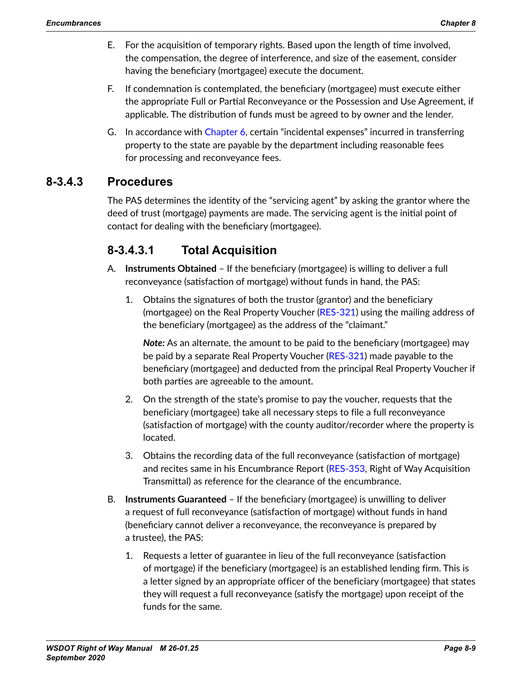- E. For the acquisition of temporary rights. Based upon the length of time involved, the compensation, the degree of interference, and size of the easement, consider having the beneficiary (mortgagee) execute the document.
- F. If condemnation is contemplated, the beneficiary (mortgagee) must execute either the appropriate Full or Partial Reconveyance or the Possession and Use Agreement, if applicable. The distribution of funds must be agreed to by owner and the lender.
- G. In accordance with Chapter 6, certain "incidental expenses" incurred in transferring property to the state are payable by the department including reasonable fees for processing and reconveyance fees.

## **8-3.4.3 Procedures**

The PAS determines the identity of the "servicing agent" by asking the grantor where the deed of trust (mortgage) payments are made. The servicing agent is the initial point of contact for dealing with the beneficiary (mortgagee).

## **8-3.4.3.1 Total Acquisition**

- A. **Instruments Obtained** If the beneficiary (mortgagee) is willing to deliver a full reconveyance (satisfaction of mortgage) without funds in hand, the PAS:
	- 1. Obtains the signatures of both the trustor (grantor) and the beneficiary (mortgagee) on the Real Property Voucher [\(RES-321\)](http://wwwi.wsdot.wa.gov/Design/RealEstateServices/AcquisitionForms.htm) using the mailing address of the beneficiary (mortgagee) as the address of the "claimant."

*Note:* As an alternate, the amount to be paid to the beneficiary (mortgagee) may be paid by a separate Real Property Voucher (RES-[321\)](http://wwwi.wsdot.wa.gov/Design/RealEstateServices/AcquisitionForms.htm) made payable to the beneficiary (mortgagee) and deducted from the principal Real Property Voucher if both parties are agreeable to the amount.

- 2. On the strength of the state's promise to pay the voucher, requests that the beneficiary (mortgagee) take all necessary steps to file a full reconveyance (satisfaction of mortgage) with the county auditor/recorder where the property is located.
- 3. Obtains the recording data of the full reconveyance (satisfaction of mortgage) and recites same in his Encumbrance Report ([RES-353](http://wwwi.wsdot.wa.gov/Design/RealEstateServices/AcquisitionForms.htm), Right of Way Acquisition Transmittal) as reference for the clearance of the encumbrance.
- B. **Instruments Guaranteed** If the beneficiary (mortgagee) is unwilling to deliver a request of full reconveyance (satisfaction of mortgage) without funds in hand (beneficiary cannot deliver a reconveyance, the reconveyance is prepared by a trustee), the PAS:
	- 1. Requests a letter of guarantee in lieu of the full reconveyance (satisfaction of mortgage) if the beneficiary (mortgagee) is an established lending firm. This is a letter signed by an appropriate officer of the beneficiary (mortgagee) that states they will request a full reconveyance (satisfy the mortgage) upon receipt of the funds for the same.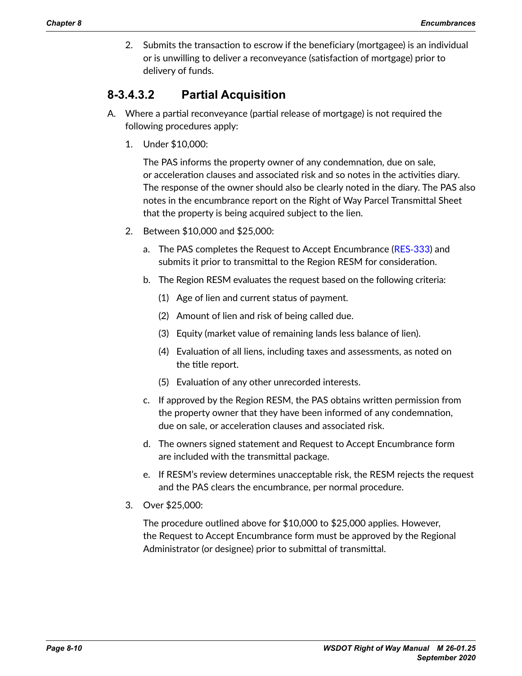2. Submits the transaction to escrow if the beneficiary (mortgagee) is an individual or is unwilling to deliver a reconveyance (satisfaction of mortgage) prior to delivery of funds.

## **8-3.4.3.2 Partial Acquisition**

- A. Where a partial reconveyance (partial release of mortgage) is not required the following procedures apply:
	- 1. Under \$10,000:

The PAS informs the property owner of any condemnation, due on sale, or acceleration clauses and associated risk and so notes in the activities diary. The response of the owner should also be clearly noted in the diary. The PAS also notes in the encumbrance report on the Right of Way Parcel Transmittal Sheet that the property is being acquired subject to the lien.

- 2. Between \$10,000 and \$25,000:
	- a. The PAS completes the Request to Accept Encumbrance [\(RES](http://wwwi.wsdot.wa.gov/Design/RealEstateServices/AcquisitionForms.htm)-333) and submits it prior to transmittal to the Region RESM for consideration.
	- b. The Region RESM evaluates the request based on the following criteria:
		- (1) Age of lien and current status of payment.
		- (2) Amount of lien and risk of being called due.
		- (3) Equity (market value of remaining lands less balance of lien).
		- (4) Evaluation of all liens, including taxes and assessments, as noted on the title report.
		- (5) Evaluation of any other unrecorded interests.
	- c. If approved by the Region RESM, the PAS obtains written permission from the property owner that they have been informed of any condemnation, due on sale, or acceleration clauses and associated risk.
	- d. The owners signed statement and Request to Accept Encumbrance form are included with the transmittal package.
	- e. If RESM's review determines unacceptable risk, the RESM rejects the request and the PAS clears the encumbrance, per normal procedure.
- 3. Over \$25,000:

The procedure outlined above for \$10,000 to \$25,000 applies. However, the Request to Accept Encumbrance form must be approved by the Regional Administrator (or designee) prior to submittal of transmittal.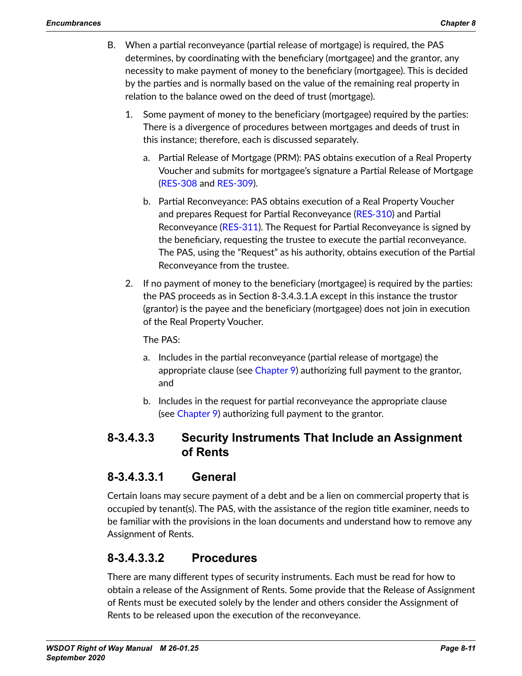- B. When a partial reconveyance (partial release of mortgage) is required, the PAS determines, by coordinating with the beneficiary (mortgagee) and the grantor, any necessity to make payment of money to the beneficiary (mortgagee). This is decided by the parties and is normally based on the value of the remaining real property in relation to the balance owed on the deed of trust (mortgage).
	- 1. Some payment of money to the beneficiary (mortgagee) required by the parties: There is a divergence of procedures between mortgages and deeds of trust in this instance; therefore, each is discussed separately.
		- a. Partial Release of Mortgage (PRM): PAS obtains execution of a Real Property Voucher and submits for mortgagee's signature a Partial Release of Mortgage ([RES-308](http://wwwi.wsdot.wa.gov/Design/RealEstateServices/AcquisitionForms.htm) and [RES-309](http://wwwi.wsdot.wa.gov/Design/RealEstateServices/AcquisitionForms.htm)).
		- b. Partial Reconveyance: PAS obtains execution of a Real Property Voucher and prepares Request for Partial Reconveyance ([RES](http://wwwi.wsdot.wa.gov/Design/RealEstateServices/AcquisitionForms.htm)‑310) and Partial Reconveyance ([RES-311](http://wwwi.wsdot.wa.gov/Design/RealEstateServices/AcquisitionForms.htm)). The Request for Partial Reconveyance is signed by the beneficiary, requesting the trustee to execute the partial reconveyance. The PAS, using the "Request" as his authority, obtains execution of the Partial Reconveyance from the trustee.
	- 2. If no payment of money to the beneficiary (mortgagee) is required by the parties: the PAS proceeds as in Section 8-3.4.3.1.A except in this instance the trustor (grantor) is the payee and the beneficiary (mortgagee) does not join in execution of the Real Property Voucher.

The PAS:

- a. Includes in the partial reconveyance (partial release of mortgage) the appropriate clause (see Chapter 9) authorizing full payment to the grantor, and
- b. Includes in the request for partial reconveyance the appropriate clause (see Chapter 9) authorizing full payment to the grantor.

## **8-3.4.3.3 Security Instruments That Include an Assignment of Rents**

## **8-3.4.3.3.1 General**

Certain loans may secure payment of a debt and be a lien on commercial property that is occupied by tenant(s). The PAS, with the assistance of the region title examiner, needs to be familiar with the provisions in the loan documents and understand how to remove any Assignment of Rents.

## **8-3.4.3.3.2 Procedures**

There are many different types of security instruments. Each must be read for how to obtain a release of the Assignment of Rents. Some provide that the Release of Assignment of Rents must be executed solely by the lender and others consider the Assignment of Rents to be released upon the execution of the reconveyance.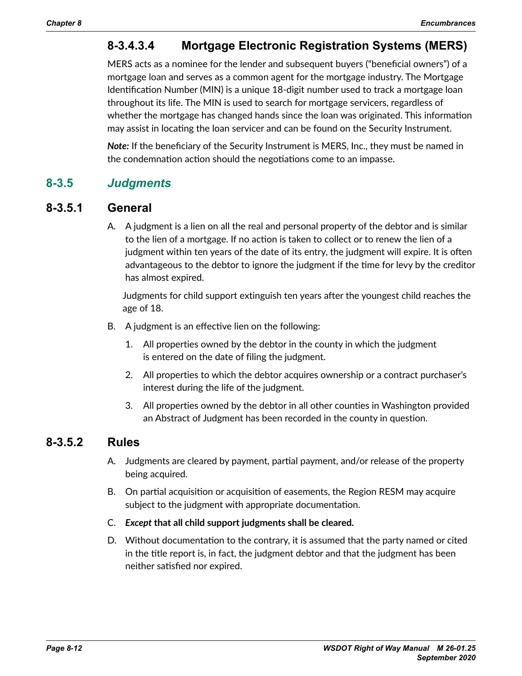# **8-3.4.3.4 Mortgage Electronic Registration Systems (MERS)**

MERS acts as a nominee for the lender and subsequent buyers ("beneficial owners") of a mortgage loan and serves as a common agent for the mortgage industry. The Mortgage Identification Number (MIN) is a unique 18-digit number used to track a mortgage loan throughout its life. The MIN is used to search for mortgage servicers, regardless of whether the mortgage has changed hands since the loan was originated. This information may assist in locating the loan servicer and can be found on the Security Instrument.

*Note:* If the beneficiary of the Security Instrument is MERS, Inc., they must be named in the condemnation action should the negotiations come to an impasse.

## **8-3.5** *Judgments*

## **8-3.5.1 General**

A. A judgment is a lien on all the real and personal property of the debtor and is similar to the lien of a mortgage. If no action is taken to collect or to renew the lien of a judgment within ten years of the date of its entry, the judgment will expire. It is often advantageous to the debtor to ignore the judgment if the time for levy by the creditor has almost expired.

Judgments for child support extinguish ten years after the youngest child reaches the age of 18.

- B. A judgment is an effective lien on the following:
	- 1. All properties owned by the debtor in the county in which the judgment is entered on the date of filing the judgment.
	- 2. All properties to which the debtor acquires ownership or a contract purchaser's interest during the life of the judgment.
	- 3. All properties owned by the debtor in all other counties in Washington provided an Abstract of Judgment has been recorded in the county in question.

## **8-3.5.2 Rules**

- A. Judgments are cleared by payment, partial payment, and/or release of the property being acquired.
- B. On partial acquisition or acquisition of easements, the Region RESM may acquire subject to the judgment with appropriate documentation.
- C. *Except* **that all child support judgments shall be cleared.**
- D. Without documentation to the contrary, it is assumed that the party named or cited in the title report is, in fact, the judgment debtor and that the judgment has been neither satisfied nor expired.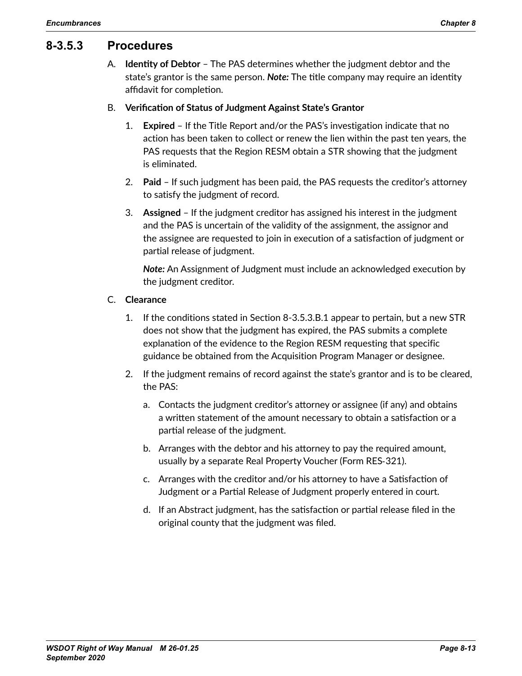## **8-3.5.3 Procedures**

A. **Identity of Debtor** – The PAS determines whether the judgment debtor and the state's grantor is the same person. *Note:* The title company may require an identity affidavit for completion.

#### B. **Verification of Status of Judgment Against State's Grantor**

- 1. **Expired** If the Title Report and/or the PAS's investigation indicate that no action has been taken to collect or renew the lien within the past ten years, the PAS requests that the Region RESM obtain a STR showing that the judgment is eliminated.
- 2. **Paid** If such judgment has been paid, the PAS requests the creditor's attorney to satisfy the judgment of record.
- 3. **Assigned** If the judgment creditor has assigned his interest in the judgment and the PAS is uncertain of the validity of the assignment, the assignor and the assignee are requested to join in execution of a satisfaction of judgment or partial release of judgment.

*Note:* An Assignment of Judgment must include an acknowledged execution by the judgment creditor.

#### C. **Clearance**

- 1. If the conditions stated in Section 8-3.5.3.B.1 appear to pertain, but a new STR does not show that the judgment has expired, the PAS submits a complete explanation of the evidence to the Region RESM requesting that specific guidance be obtained from the Acquisition Program Manager or designee.
- 2. If the judgment remains of record against the state's grantor and is to be cleared, the PAS:
	- a. Contacts the judgment creditor's attorney or assignee (if any) and obtains a written statement of the amount necessary to obtain a satisfaction or a partial release of the judgment.
	- b. Arranges with the debtor and his attorney to pay the required amount, usually by a separate Real Property Voucher (Form RES‑321).
	- c. Arranges with the creditor and/or his attorney to have a Satisfaction of Judgment or a Partial Release of Judgment properly entered in court.
	- d. If an Abstract judgment, has the satisfaction or partial release filed in the original county that the judgment was filed.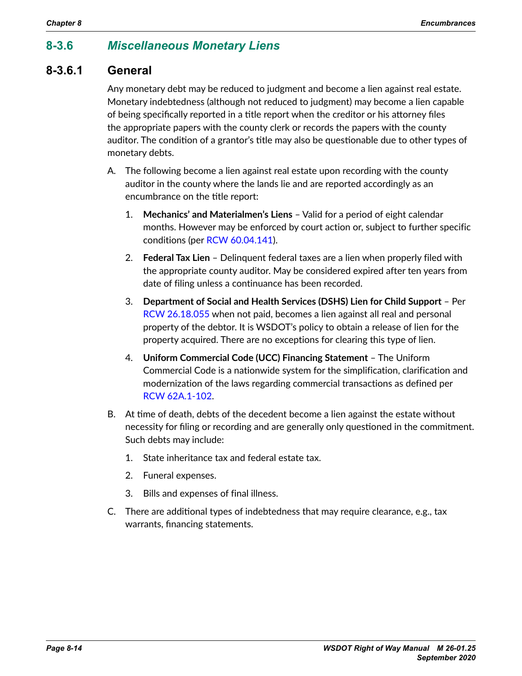## **8-3.6** *Miscellaneous Monetary Liens*

## **8-3.6.1 General**

Any monetary debt may be reduced to judgment and become a lien against real estate. Monetary indebtedness (although not reduced to judgment) may become a lien capable of being specifically reported in a title report when the creditor or his attorney files the appropriate papers with the county clerk or records the papers with the county auditor. The condition of a grantor's title may also be questionable due to other types of monetary debts.

- A. The following become a lien against real estate upon recording with the county auditor in the county where the lands lie and are reported accordingly as an encumbrance on the title report:
	- 1. **Mechanics' and Materialmen's Liens** Valid for a period of eight calendar months. However may be enforced by court action or, subject to further specific conditions (per [RCW 60.04.141](http://apps.leg.wa.gov/RCW/default.aspx?cite=60.04.141)).
	- 2. **Federal Tax Lien** Delinquent federal taxes are a lien when properly filed with the appropriate county auditor. May be considered expired after ten years from date of filing unless a continuance has been recorded.
	- 3. **Department of Social and Health Services (DSHS) Lien for Child Support** Per [RCW 26.18.055](http://apps.leg.wa.gov/RCW/default.aspx?cite=26.18.055) when not paid, becomes a lien against all real and personal property of the debtor. It is WSDOT's policy to obtain a release of lien for the property acquired. There are no exceptions for clearing this type of lien.
	- 4. **Uniform Commercial Code (UCC) Financing Statement** The Uniform Commercial Code is a nationwide system for the simplification, clarification and modernization of the laws regarding commercial transactions as defined per [RCW 62A.1-102](http://apps.leg.wa.gov/RCW/default.aspx?cite=62A.1-102).
- B. At time of death, debts of the decedent become a lien against the estate without necessity for filing or recording and are generally only questioned in the commitment. Such debts may include:
	- 1. State inheritance tax and federal estate tax.
	- 2. Funeral expenses.
	- 3. Bills and expenses of final illness.
- C. There are additional types of indebtedness that may require clearance, e.g., tax warrants, financing statements.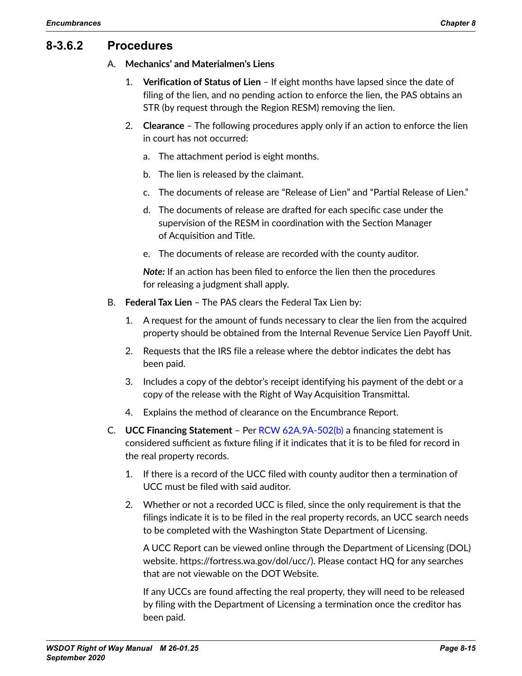## **8-3.6.2 Procedures**

#### A. **Mechanics' and Materialmen's Liens**

- 1. **Verification of Status of Lien** If eight months have lapsed since the date of filing of the lien, and no pending action to enforce the lien, the PAS obtains an STR (by request through the Region RESM) removing the lien.
- 2. **Clearance** The following procedures apply only if an action to enforce the lien in court has not occurred:
	- a. The attachment period is eight months.
	- b. The lien is released by the claimant.
	- c. The documents of release are "Release of Lien" and "Partial Release of Lien."
	- d. The documents of release are drafted for each specific case under the supervision of the RESM in coordination with the Section Manager of Acquisition and Title.
	- e. The documents of release are recorded with the county auditor.

*Note*: If an action has been filed to enforce the lien then the procedures for releasing a judgment shall apply.

- B. **Federal Tax Lien** The PAS clears the Federal Tax Lien by:
	- 1. A request for the amount of funds necessary to clear the lien from the acquired property should be obtained from the Internal Revenue Service Lien Payoff Unit.
	- 2. Requests that the IRS file a release where the debtor indicates the debt has been paid.
	- 3. Includes a copy of the debtor's receipt identifying his payment of the debt or a copy of the release with the Right of Way Acquisition Transmittal.
	- 4. Explains the method of clearance on the Encumbrance Report.
- C. **UCC Financing Statement** Per [RCW 62A.9A-502\(b\)](http://apps.leg.wa.gov/RCW/default.aspx?cite=62A.9A-502) a financing statement is considered sufficient as fixture filing if it indicates that it is to be filed for record in the real property records.
	- 1. If there is a record of the UCC filed with county auditor then a termination of UCC must be filed with said auditor.
	- 2. Whether or not a recorded UCC is filed, since the only requirement is that the filings indicate it is to be filed in the real property records, an UCC search needs to be completed with the Washington State Department of Licensing.

A UCC Report can be viewed online through the Department of Licensing (DOL) website. https://fortress.wa.gov/dol/ucc/). Please contact HQ for any searches that are not viewable on the DOT Website.

If any UCCs are found affecting the real property, they will need to be released by filing with the Department of Licensing a termination once the creditor has been paid.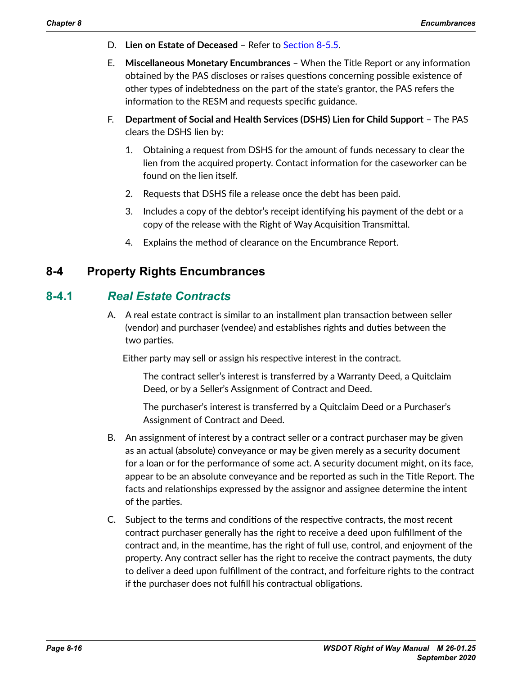- D. **Lien on Estate of Deceased** Refer to [Section 8-5.5](#page-36-0).
- E. **Miscellaneous Monetary Encumbrances** When the Title Report or any information obtained by the PAS discloses or raises questions concerning possible existence of other types of indebtedness on the part of the state's grantor, the PAS refers the information to the RESM and requests specific guidance.
- F. **Department of Social and Health Services (DSHS) Lien for Child Support** The PAS clears the DSHS lien by:
	- 1. Obtaining a request from DSHS for the amount of funds necessary to clear the lien from the acquired property. Contact information for the caseworker can be found on the lien itself.
	- 2. Requests that DSHS file a release once the debt has been paid.
	- 3. Includes a copy of the debtor's receipt identifying his payment of the debt or a copy of the release with the Right of Way Acquisition Transmittal.
	- 4. Explains the method of clearance on the Encumbrance Report.

## **8-4 Property Rights Encumbrances**

## **8-4.1** *Real Estate Contracts*

<span id="page-15-0"></span>A. A real estate contract is similar to an installment plan transaction between seller (vendor) and purchaser (vendee) and establishes rights and duties between the two parties.

Either party may sell or assign his respective interest in the contract.

The contract seller's interest is transferred by a Warranty Deed, a Quitclaim Deed, or by a Seller's Assignment of Contract and Deed.

The purchaser's interest is transferred by a Quitclaim Deed or a Purchaser's Assignment of Contract and Deed.

- B. An assignment of interest by a contract seller or a contract purchaser may be given as an actual (absolute) conveyance or may be given merely as a security document for a loan or for the performance of some act. A security document might, on its face, appear to be an absolute conveyance and be reported as such in the Title Report. The facts and relationships expressed by the assignor and assignee determine the intent of the parties.
- C. Subject to the terms and conditions of the respective contracts, the most recent contract purchaser generally has the right to receive a deed upon fulfillment of the contract and, in the meantime, has the right of full use, control, and enjoyment of the property. Any contract seller has the right to receive the contract payments, the duty to deliver a deed upon fulfillment of the contract, and forfeiture rights to the contract if the purchaser does not fulfill his contractual obligations.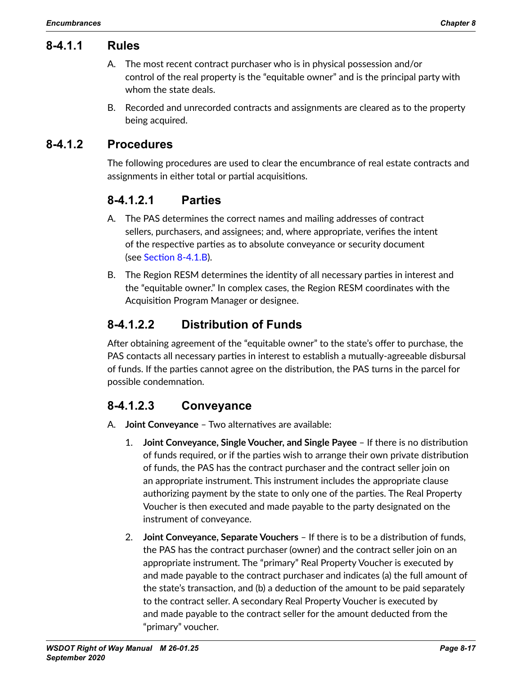## **8-4.1.1 Rules**

- A. The most recent contract purchaser who is in physical possession and/or control of the real property is the "equitable owner" and is the principal party with whom the state deals.
- B. Recorded and unrecorded contracts and assignments are cleared as to the property being acquired.

## **8-4.1.2 Procedures**

The following procedures are used to clear the encumbrance of real estate contracts and assignments in either total or partial acquisitions.

## **8-4.1.2.1 Parties**

- A. The PAS determines the correct names and mailing addresses of contract sellers, purchasers, and assignees; and, where appropriate, verifies the intent of the respective parties as to absolute conveyance or security document (see [Section](#page-16-0) 8-4.1.B).
- <span id="page-16-0"></span>B. The Region RESM determines the identity of all necessary parties in interest and the "equitable owner." In complex cases, the Region RESM coordinates with the Acquisition Program Manager or designee.

# **8-4.1.2.2 Distribution of Funds**

After obtaining agreement of the "equitable owner" to the state's offer to purchase, the PAS contacts all necessary parties in interest to establish a mutually-agreeable disbursal of funds. If the parties cannot agree on the distribution, the PAS turns in the parcel for possible condemnation.

## **8-4.1.2.3 Conveyance**

- <span id="page-16-1"></span>A. **Joint Conveyance** – Two alternatives are available:
	- 1. **Joint Conveyance, Single Voucher, and Single Payee**  If there is no distribution of funds required, or if the parties wish to arrange their own private distribution of funds, the PAS has the contract purchaser and the contract seller join on an appropriate instrument. This instrument includes the appropriate clause authorizing payment by the state to only one of the parties. The Real Property Voucher is then executed and made payable to the party designated on the instrument of conveyance.
	- 2. **Joint Conveyance, Separate Vouchers** If there is to be a distribution of funds, the PAS has the contract purchaser (owner) and the contract seller join on an appropriate instrument. The "primary" Real Property Voucher is executed by and made payable to the contract purchaser and indicates (a) the full amount of the state's transaction, and (b) a deduction of the amount to be paid separately to the contract seller. A secondary Real Property Voucher is executed by and made payable to the contract seller for the amount deducted from the "primary" voucher.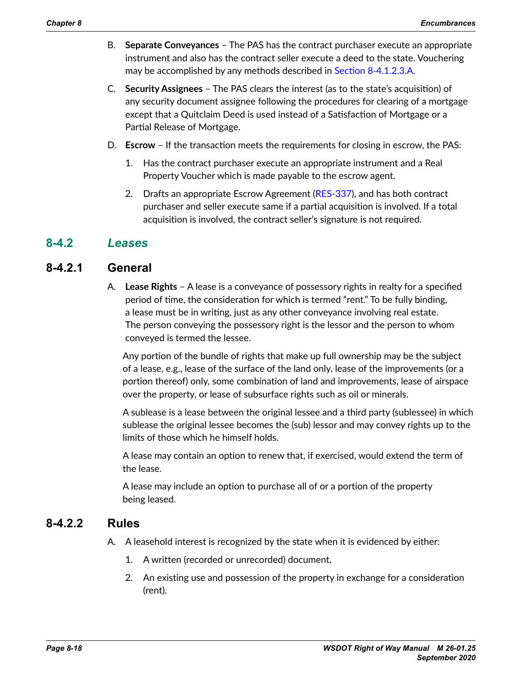- B. **Separate Conveyances** The PAS has the contract purchaser execute an appropriate instrument and also has the contract seller execute a deed to the state. Vouchering may be accomplished by any methods described in Section 8-[4.1.2.3.A](#page-16-1).
- C. **Security Assignees** The PAS clears the interest (as to the state's acquisition) of any security document assignee following the procedures for clearing of a mortgage except that a Quitclaim Deed is used instead of a Satisfaction of Mortgage or a Partial Release of Mortgage.
- D. **Escrow** If the transaction meets the requirements for closing in escrow, the PAS:
	- 1. Has the contract purchaser execute an appropriate instrument and a Real Property Voucher which is made payable to the escrow agent.
	- 2. Drafts an appropriate Escrow Agreement [\(RES-337\)](http://wwwi.wsdot.wa.gov/Design/RealEstateServices/AcquisitionForms.htm), and has both contract purchaser and seller execute same if a partial acquisition is involved. If a total acquisition is involved, the contract seller's signature is not required.

## **8-4.2** *Leases*

## **8-4.2.1 General**

A. **Lease Rights** – A lease is a conveyance of possessory rights in realty for a specified period of time, the consideration for which is termed "rent." To be fully binding, a lease must be in writing, just as any other conveyance involving real estate. The person conveying the possessory right is the lessor and the person to whom conveyed is termed the lessee.

Any portion of the bundle of rights that make up full ownership may be the subject of a lease, e.g., lease of the surface of the land only, lease of the improvements (or a portion thereof) only, some combination of land and improvements, lease of airspace over the property, or lease of subsurface rights such as oil or minerals.

A sublease is a lease between the original lessee and a third party (sublessee) in which sublease the original lessee becomes the (sub) lessor and may convey rights up to the limits of those which he himself holds.

A lease may contain an option to renew that, if exercised, would extend the term of the lease.

A lease may include an option to purchase all of or a portion of the property being leased.

## **8-4.2.2 Rules**

- A. A leasehold interest is recognized by the state when it is evidenced by either:
	- 1. A written (recorded or unrecorded) document.
	- 2. An existing use and possession of the property in exchange for a consideration (rent).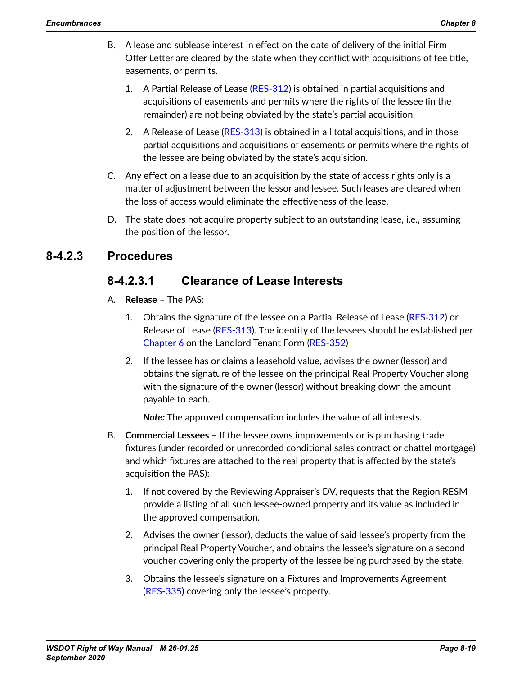- B. A lease and sublease interest in effect on the date of delivery of the initial Firm Offer Letter are cleared by the state when they conflict with acquisitions of fee title, easements, or permits.
	- 1. A Partial Release of Lease [\(RES-312\)](http://wwwi.wsdot.wa.gov/Design/RealEstateServices/AcquisitionForms.htm) is obtained in partial acquisitions and acquisitions of easements and permits where the rights of the lessee (in the remainder) are not being obviated by the state's partial acquisition.
	- 2. A Release of Lease ([RES-313](http://wwwi.wsdot.wa.gov/Design/RealEstateServices/AcquisitionForms.htm)) is obtained in all total acquisitions, and in those partial acquisitions and acquisitions of easements or permits where the rights of the lessee are being obviated by the state's acquisition.
- C. Any effect on a lease due to an acquisition by the state of access rights only is a matter of adjustment between the lessor and lessee. Such leases are cleared when the loss of access would eliminate the effectiveness of the lease.
- D. The state does not acquire property subject to an outstanding lease, i.e., assuming the position of the lessor.

## **8-4.2.3 Procedures**

## **8-4.2.3.1 Clearance of Lease Interests**

- A. **Release** The PAS:
	- 1. Obtains the signature of the lessee on a Partial Release of Lease (RES‑[312\)](http://wwwi.wsdot.wa.gov/Design/RealEstateServices/AcquisitionForms.htm) or Release of Lease [\(RES-313](http://wwwi.wsdot.wa.gov/Design/RealEstateServices/AcquisitionForms.htm)). The identity of the lessees should be established per Chapter 6 on the Landlord Tenant Form [\(RES-352\)](http://wwwi.wsdot.wa.gov/Design/RealEstateServices/AcquisitionForms.htm)
	- 2. If the lessee has or claims a leasehold value, advises the owner (lessor) and obtains the signature of the lessee on the principal Real Property Voucher along with the signature of the owner (lessor) without breaking down the amount payable to each.

*Note:* The approved compensation includes the value of all interests.

- B. **Commercial Lessees** If the lessee owns improvements or is purchasing trade fixtures (under recorded or unrecorded conditional sales contract or chattel mortgage) and which fixtures are attached to the real property that is affected by the state's acquisition the PAS):
	- 1. If not covered by the Reviewing Appraiser's DV, requests that the Region RESM provide a listing of all such lessee-owned property and its value as included in the approved compensation.
	- 2. Advises the owner (lessor), deducts the value of said lessee's property from the principal Real Property Voucher, and obtains the lessee's signature on a second voucher covering only the property of the lessee being purchased by the state.
	- 3. Obtains the lessee's signature on a Fixtures and Improvements Agreement ([RES-335](http://wwwi.wsdot.wa.gov/Design/RealEstateServices/AcquisitionForms.htm)) covering only the lessee's property.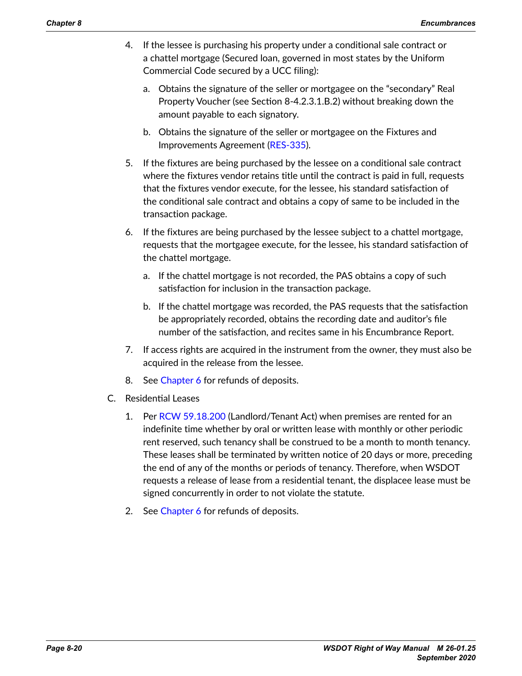- 4. If the lessee is purchasing his property under a conditional sale contract or a chattel mortgage (Secured loan, governed in most states by the Uniform Commercial Code secured by a UCC filing):
	- a. Obtains the signature of the seller or mortgagee on the "secondary" Real Property Voucher (see Section 8-4.2.3.1.B.2) without breaking down the amount payable to each signatory.
	- b. Obtains the signature of the seller or mortgagee on the Fixtures and Improvements Agreement ([RES-335](http://wwwi.wsdot.wa.gov/Design/RealEstateServices/AcquisitionForms.htm)).
- 5. If the fixtures are being purchased by the lessee on a conditional sale contract where the fixtures vendor retains title until the contract is paid in full, requests that the fixtures vendor execute, for the lessee, his standard satisfaction of the conditional sale contract and obtains a copy of same to be included in the transaction package.
- 6. If the fixtures are being purchased by the lessee subject to a chattel mortgage, requests that the mortgagee execute, for the lessee, his standard satisfaction of the chattel mortgage.
	- a. If the chattel mortgage is not recorded, the PAS obtains a copy of such satisfaction for inclusion in the transaction package.
	- b. If the chattel mortgage was recorded, the PAS requests that the satisfaction be appropriately recorded, obtains the recording date and auditor's file number of the satisfaction, and recites same in his Encumbrance Report.
- 7. If access rights are acquired in the instrument from the owner, they must also be acquired in the release from the lessee.
- 8. See Chapter 6 for refunds of deposits.
- C. Residential Leases
	- 1. Per [RCW 59.18.200](http://apps.leg.wa.gov/RCW/default.aspx?cite=59.18.200) (Landlord/Tenant Act) when premises are rented for an indefinite time whether by oral or written lease with monthly or other periodic rent reserved, such tenancy shall be construed to be a month to month tenancy. These leases shall be terminated by written notice of 20 days or more, preceding the end of any of the months or periods of tenancy. Therefore, when WSDOT requests a release of lease from a residential tenant, the displacee lease must be signed concurrently in order to not violate the statute.
	- 2. See Chapter 6 for refunds of deposits.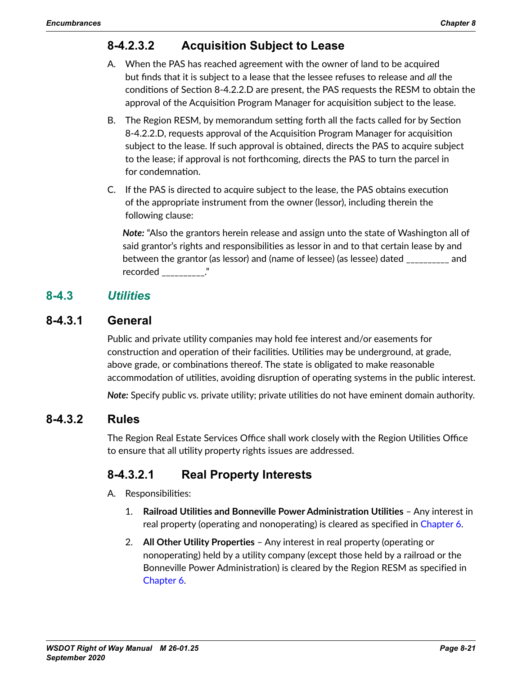# **8-4.2.3.2 Acquisition Subject to Lease**

- A. When the PAS has reached agreement with the owner of land to be acquired but finds that it is subject to a lease that the lessee refuses to release and *all* the conditions of Section 8-4.2.2.D are present, the PAS requests the RESM to obtain the approval of the Acquisition Program Manager for acquisition subject to the lease.
- B. The Region RESM, by memorandum setting forth all the facts called for by Section 8-4.2.2.D, requests approval of the Acquisition Program Manager for acquisition subject to the lease. If such approval is obtained, directs the PAS to acquire subject to the lease; if approval is not forthcoming, directs the PAS to turn the parcel in for condemnation.
- C. If the PAS is directed to acquire subject to the lease, the PAS obtains execution of the appropriate instrument from the owner (lessor), including therein the following clause:

*Note:* "Also the grantors herein release and assign unto the state of Washington all of said grantor's rights and responsibilities as lessor in and to that certain lease by and between the grantor (as lessor) and (name of lessee) (as lessee) dated \_\_\_\_\_\_\_\_\_\_ and recorded \_\_\_\_\_\_\_\_\_\_."

## **8-4.3** *Utilities*

## **8-4.3.1 General**

Public and private utility companies may hold fee interest and/or easements for construction and operation of their facilities. Utilities may be underground, at grade, above grade, or combinations thereof. The state is obligated to make reasonable accommodation of utilities, avoiding disruption of operating systems in the public interest.

*Note:* Specify public vs. private utility; private utilities do not have eminent domain authority.

#### **8-4.3.2 Rules**

The Region Real Estate Services Office shall work closely with the Region Utilities Office to ensure that all utility property rights issues are addressed.

## **8-4.3.2.1 Real Property Interests**

- A. Responsibilities:
	- 1. **Railroad Utilities and Bonneville Power Administration Utilities** Any interest in real property (operating and nonoperating) is cleared as specified in Chapter 6.
	- 2. **All Other Utility Properties** Any interest in real property (operating or nonoperating) held by a utility company (except those held by a railroad or the Bonneville Power Administration) is cleared by the Region RESM as specified in Chapter 6.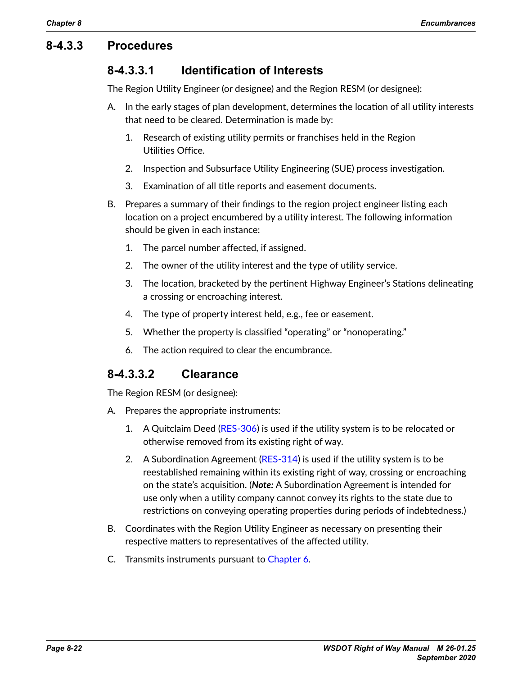## **8-4.3.3 Procedures**

## **8-4.3.3.1 Identification of Interests**

The Region Utility Engineer (or designee) and the Region RESM (or designee):

- A. In the early stages of plan development, determines the location of all utility interests that need to be cleared. Determination is made by:
	- 1. Research of existing utility permits or franchises held in the Region Utilities Office.
	- 2. Inspection and Subsurface Utility Engineering (SUE) process investigation.
	- 3. Examination of all title reports and easement documents.
- B. Prepares a summary of their findings to the region project engineer listing each location on a project encumbered by a utility interest. The following information should be given in each instance:
	- 1. The parcel number affected, if assigned.
	- 2. The owner of the utility interest and the type of utility service.
	- 3. The location, bracketed by the pertinent Highway Engineer's Stations delineating a crossing or encroaching interest.
	- 4. The type of property interest held, e.g., fee or easement.
	- 5. Whether the property is classified "operating" or "nonoperating."
	- 6. The action required to clear the encumbrance.

## **8-4.3.3.2 Clearance**

The Region RESM (or designee):

- A. Prepares the appropriate instruments:
	- 1. A Quitclaim Deed ([RES-306](http://wwwi.wsdot.wa.gov/Design/RealEstateServices/AcquisitionForms.htm)) is used if the utility system is to be relocated or otherwise removed from its existing right of way.
	- 2. A Subordination Agreement ([RES-314](http://wwwi.wsdot.wa.gov/Design/RealEstateServices/AcquisitionForms.htm)) is used if the utility system is to be reestablished remaining within its existing right of way, crossing or encroaching on the state's acquisition. (*Note:* A Subordination Agreement is intended for use only when a utility company cannot convey its rights to the state due to restrictions on conveying operating properties during periods of indebtedness.)
- B. Coordinates with the Region Utility Engineer as necessary on presenting their respective matters to representatives of the affected utility.
- C. Transmits instruments pursuant to Chapter 6.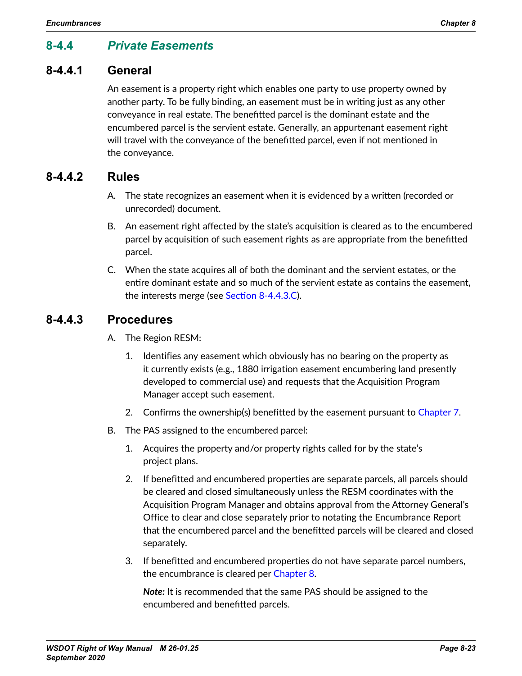## **8-4.4** *Private Easements*

#### **8-4.4.1 General**

An easement is a property right which enables one party to use property owned by another party. To be fully binding, an easement must be in writing just as any other conveyance in real estate. The benefitted parcel is the dominant estate and the encumbered parcel is the servient estate. Generally, an appurtenant easement right will travel with the conveyance of the benefitted parcel, even if not mentioned in the conveyance.

#### **8-4.4.2 Rules**

- A. The state recognizes an easement when it is evidenced by a written (recorded or unrecorded) document.
- B. An easement right affected by the state's acquisition is cleared as to the encumbered parcel by acquisition of such easement rights as are appropriate from the benefitted parcel.
- C. When the state acquires all of both the dominant and the servient estates, or the entire dominant estate and so much of the servient estate as contains the easement, the interests merge (see [Section 8-4.4.3.C](#page-23-0)).

#### **8-4.4.3 Procedures**

- A. The Region RESM:
	- 1. Identifies any easement which obviously has no bearing on the property as it currently exists (e.g., 1880 irrigation easement encumbering land presently developed to commercial use) and requests that the Acquisition Program Manager accept such easement.
	- 2. Confirms the ownership(s) benefitted by the easement pursuant to Chapter 7.
- B. The PAS assigned to the encumbered parcel:
	- 1. Acquires the property and/or property rights called for by the state's project plans.
	- 2. If benefitted and encumbered properties are separate parcels, all parcels should be cleared and closed simultaneously unless the RESM coordinates with the Acquisition Program Manager and obtains approval from the Attorney General's Office to clear and close separately prior to notating the Encumbrance Report that the encumbered parcel and the benefitted parcels will be cleared and closed separately.
	- 3. If benefitted and encumbered properties do not have separate parcel numbers, the encumbrance is cleared per [Chapter](#page-0-1) 8.

*Note:* It is recommended that the same PAS should be assigned to the encumbered and benefitted parcels.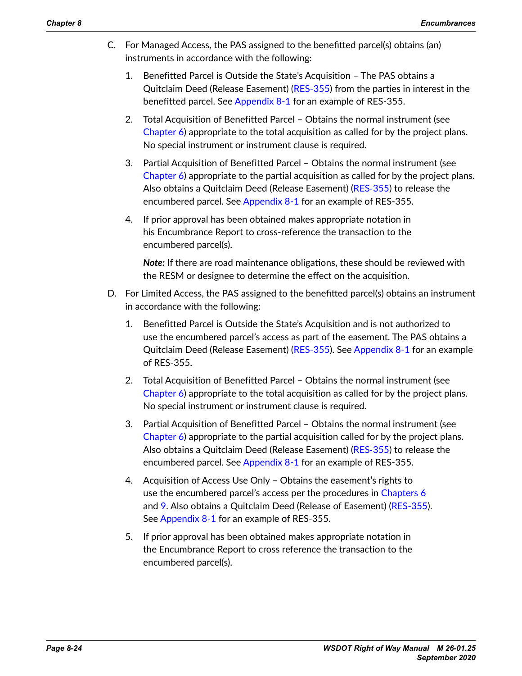- <span id="page-23-0"></span>C. For Managed Access, the PAS assigned to the benefitted parcel(s) obtains (an) instruments in accordance with the following:
	- 1. Benefitted Parcel is Outside the State's Acquisition The PAS obtains a Quitclaim Deed (Release Easement) ([RES-355\)](http://wwwi.wsdot.wa.gov/Design/RealEstateServices/AcquisitionForms.htm) from the parties in interest in the benefitted parcel. See [Appendix](#page-39-0) 8-1 for an example of RES-355.
	- 2. Total Acquisition of Benefitted Parcel Obtains the normal instrument (see Chapter 6) appropriate to the total acquisition as called for by the project plans. No special instrument or instrument clause is required.
	- 3. Partial Acquisition of Benefitted Parcel Obtains the normal instrument (see Chapter 6) appropriate to the partial acquisition as called for by the project plans. Also obtains a Quitclaim Deed (Release Easement) (RES‑[355\)](http://wwwi.wsdot.wa.gov/Design/RealEstateServices/AcquisitionForms.htm) to release the encumbered parcel. See [Appendix](#page-39-0) 8-1 for an example of RES-355.
	- 4. If prior approval has been obtained makes appropriate notation in his Encumbrance Report to cross-reference the transaction to the encumbered parcel(s).

*Note:* If there are road maintenance obligations, these should be reviewed with the RESM or designee to determine the effect on the acquisition.

- D. For Limited Access, the PAS assigned to the benefitted parcel(s) obtains an instrument in accordance with the following:
	- 1. Benefitted Parcel is Outside the State's Acquisition and is not authorized to use the encumbered parcel's access as part of the easement. The PAS obtains a Quitclaim Deed (Release Easement) ([RES-355\)](http://wwwi.wsdot.wa.gov/Design/RealEstateServices/AcquisitionForms.htm). See [Appendix](#page-39-0) 8-1 for an example of RES-355.
	- 2. Total Acquisition of Benefitted Parcel Obtains the normal instrument (see Chapter 6) appropriate to the total acquisition as called for by the project plans. No special instrument or instrument clause is required.
	- 3. Partial Acquisition of Benefitted Parcel Obtains the normal instrument (see Chapter 6) appropriate to the partial acquisition called for by the project plans. Also obtains a Quitclaim Deed (Release Easement) (RES‑[355\)](http://wwwi.wsdot.wa.gov/Design/RealEstateServices/AcquisitionForms.htm) to release the encumbered parcel. See [Appendix](#page-39-0) 8-1 for an example of RES-355.
	- 4. Acquisition of Access Use Only Obtains the easement's rights to use the encumbered parcel's access per the procedures in Chapters 6 and 9. Also obtains a Quitclaim Deed (Release of Easement) [\(RES-355\)](http://wwwi.wsdot.wa.gov/Design/RealEstateServices/AcquisitionForms.htm). See [Appendix](#page-39-0) 8-1 for an example of RES-355.
	- 5. If prior approval has been obtained makes appropriate notation in the Encumbrance Report to cross reference the transaction to the encumbered parcel(s).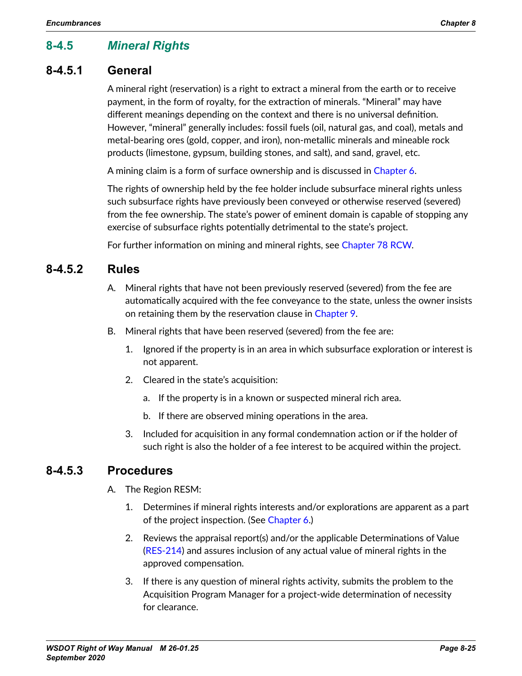## **8-4.5** *Mineral Rights*

## **8-4.5.1 General**

A mineral right (reservation) is a right to extract a mineral from the earth or to receive payment, in the form of royalty, for the extraction of minerals. "Mineral" may have different meanings depending on the context and there is no universal definition. However, "mineral" generally includes: fossil fuels (oil, natural gas, and coal), metals and metal-bearing ores (gold, copper, and iron), non-metallic minerals and mineable rock products (limestone, gypsum, building stones, and salt), and sand, gravel, etc.

A mining claim is a form of surface ownership and is discussed in Chapter 6.

The rights of ownership held by the fee holder include subsurface mineral rights unless such subsurface rights have previously been conveyed or otherwise reserved (severed) from the fee ownership. The state's power of eminent domain is capable of stopping any exercise of subsurface rights potentially detrimental to the state's project.

For further information on mining and mineral rights, see [Chapter 78 RCW](http://apps.leg.wa.gov/RCW/default.aspx?cite=78).

## **8-4.5.2 Rules**

- A. Mineral rights that have not been previously reserved (severed) from the fee are automatically acquired with the fee conveyance to the state, unless the owner insists on retaining them by the reservation clause in Chapter 9.
- B. Mineral rights that have been reserved (severed) from the fee are:
	- 1. Ignored if the property is in an area in which subsurface exploration or interest is not apparent.
	- 2. Cleared in the state's acquisition:
		- a. If the property is in a known or suspected mineral rich area.
		- b. If there are observed mining operations in the area.
	- 3. Included for acquisition in any formal condemnation action or if the holder of such right is also the holder of a fee interest to be acquired within the project.

## **8-4.5.3 Procedures**

- A. The Region RESM:
	- 1. Determines if mineral rights interests and/or explorations are apparent as a part of the project inspection. (See Chapter 6.)
	- 2. Reviews the appraisal report(s) and/or the applicable Determinations of Value ([RES-214](http://www.wsdot.wa.gov/RealEstate/forms/Appraisal/default.htm)) and assures inclusion of any actual value of mineral rights in the approved compensation.
	- 3. If there is any question of mineral rights activity, submits the problem to the Acquisition Program Manager for a project-wide determination of necessity for clearance.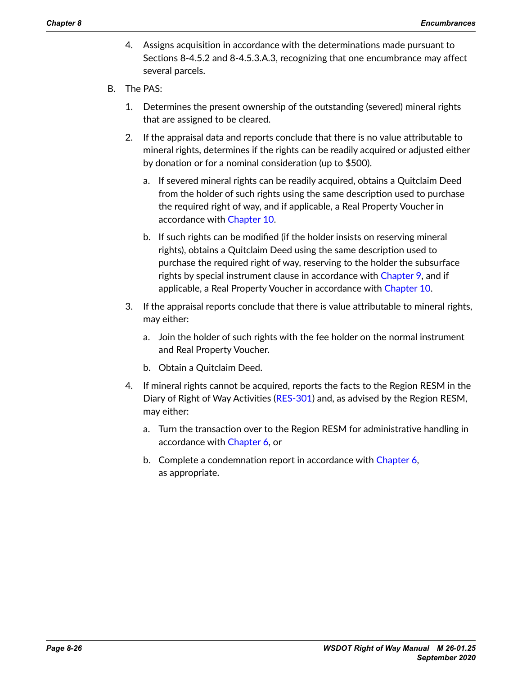- 4. Assigns acquisition in accordance with the determinations made pursuant to Sections 8-4.5.2 and 8-4.5.3.A.3, recognizing that one encumbrance may affect several parcels.
- B. The PAS:
	- 1. Determines the present ownership of the outstanding (severed) mineral rights that are assigned to be cleared.
	- 2. If the appraisal data and reports conclude that there is no value attributable to mineral rights, determines if the rights can be readily acquired or adjusted either by donation or for a nominal consideration (up to \$500).
		- a. If severed mineral rights can be readily acquired, obtains a Quitclaim Deed from the holder of such rights using the same description used to purchase the required right of way, and if applicable, a Real Property Voucher in accordance with Chapter 10.
		- b. If such rights can be modified (if the holder insists on reserving mineral rights), obtains a Quitclaim Deed using the same description used to purchase the required right of way, reserving to the holder the subsurface rights by special instrument clause in accordance with Chapter 9, and if applicable, a Real Property Voucher in accordance with Chapter 10.
	- 3. If the appraisal reports conclude that there is value attributable to mineral rights, may either:
		- a. Join the holder of such rights with the fee holder on the normal instrument and Real Property Voucher.
		- b. Obtain a Quitclaim Deed.
	- 4. If mineral rights cannot be acquired, reports the facts to the Region RESM in the Diary of Right of Way Activities ([RES-301](http://wwwi.wsdot.wa.gov/Design/RealEstateServices/AcquisitionForms.htm)) and, as advised by the Region RESM, may either:
		- a. Turn the transaction over to the Region RESM for administrative handling in accordance with Chapter 6, or
		- b. Complete a condemnation report in accordance with Chapter 6, as appropriate.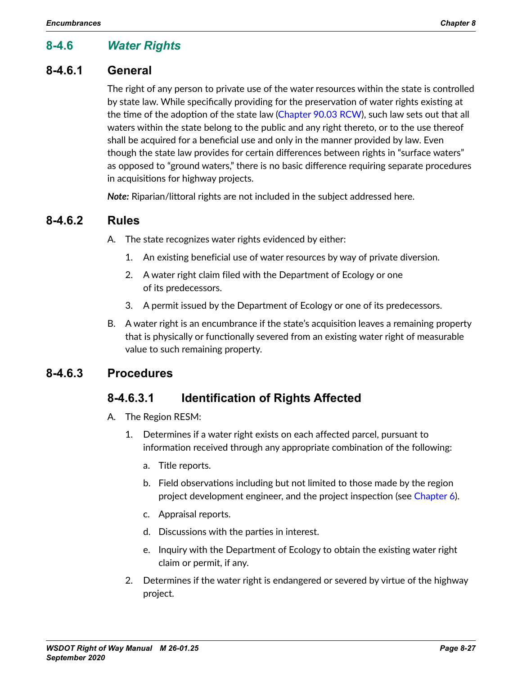# **8-4.6** *Water Rights*

## **8-4.6.1 General**

The right of any person to private use of the water resources within the state is controlled by state law. While specifically providing for the preservation of water rights existing at the time of the adoption of the state law [\(Chapter 90.03 RCW](http://apps.leg.wa.gov/RCW/default.aspx?cite=90.03)), such law sets out that all waters within the state belong to the public and any right thereto, or to the use thereof shall be acquired for a beneficial use and only in the manner provided by law. Even though the state law provides for certain differences between rights in "surface waters" as opposed to "ground waters," there is no basic difference requiring separate procedures in acquisitions for highway projects.

*Note:* Riparian/littoral rights are not included in the subject addressed here.

#### **8-4.6.2 Rules**

A. The state recognizes water rights evidenced by either:

- 1. An existing beneficial use of water resources by way of private diversion.
- 2. A water right claim filed with the Department of Ecology or one of its predecessors.
- 3. A permit issued by the Department of Ecology or one of its predecessors.
- B. A water right is an encumbrance if the state's acquisition leaves a remaining property that is physically or functionally severed from an existing water right of measurable value to such remaining property.

## **8-4.6.3 Procedures**

## **8-4.6.3.1 Identification of Rights Affected**

- A. The Region RESM:
	- 1. Determines if a water right exists on each affected parcel, pursuant to information received through any appropriate combination of the following:
		- a. Title reports.
		- b. Field observations including but not limited to those made by the region project development engineer, and the project inspection (see Chapter 6).
		- c. Appraisal reports.
		- d. Discussions with the parties in interest.
		- e. Inquiry with the Department of Ecology to obtain the existing water right claim or permit, if any.
	- 2. Determines if the water right is endangered or severed by virtue of the highway project.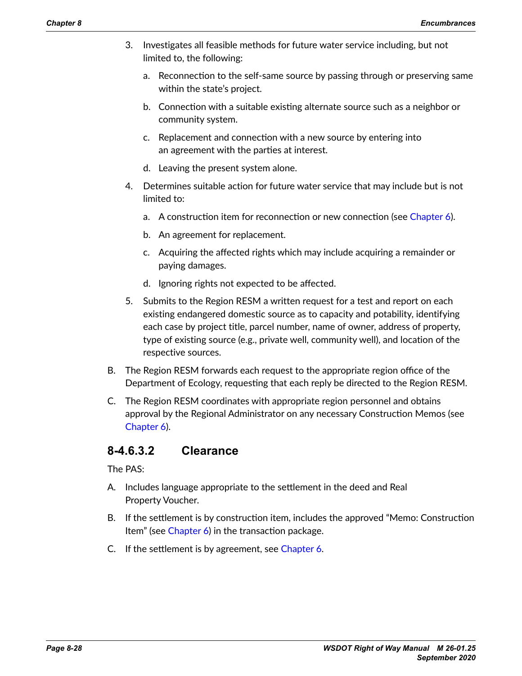- 3. Investigates all feasible methods for future water service including, but not limited to, the following:
	- a. Reconnection to the self-same source by passing through or preserving same within the state's project.
	- b. Connection with a suitable existing alternate source such as a neighbor or community system.
	- c. Replacement and connection with a new source by entering into an agreement with the parties at interest.
	- d. Leaving the present system alone.
- 4. Determines suitable action for future water service that may include but is not limited to:
	- a. A construction item for reconnection or new connection (see Chapter 6).
	- b. An agreement for replacement.
	- c. Acquiring the affected rights which may include acquiring a remainder or paying damages.
	- d. Ignoring rights not expected to be affected.
- 5. Submits to the Region RESM a written request for a test and report on each existing endangered domestic source as to capacity and potability, identifying each case by project title, parcel number, name of owner, address of property, type of existing source (e.g., private well, community well), and location of the respective sources.
- B. The Region RESM forwards each request to the appropriate region office of the Department of Ecology, requesting that each reply be directed to the Region RESM.
- C. The Region RESM coordinates with appropriate region personnel and obtains approval by the Regional Administrator on any necessary Construction Memos (see Chapter 6).

## **8-4.6.3.2 Clearance**

The PAS:

- A. Includes language appropriate to the settlement in the deed and Real Property Voucher.
- B. If the settlement is by construction item, includes the approved "Memo: Construction Item" (see Chapter 6) in the transaction package.
- C. If the settlement is by agreement, see Chapter 6.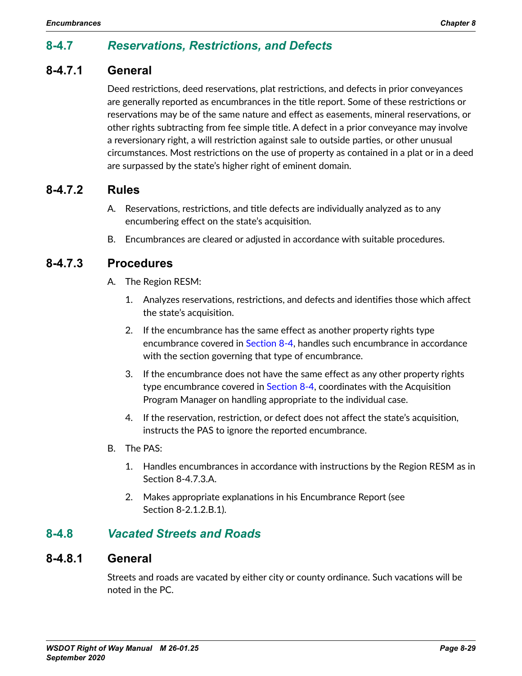# **8-4.7** *Reservations, Restrictions, and Defects*

## **8-4.7.1 General**

Deed restrictions, deed reservations, plat restrictions, and defects in prior conveyances are generally reported as encumbrances in the title report. Some of these restrictions or reservations may be of the same nature and effect as easements, mineral reservations, or other rights subtracting from fee simple title. A defect in a prior conveyance may involve a reversionary right, a will restriction against sale to outside parties, or other unusual circumstances. Most restrictions on the use of property as contained in a plat or in a deed are surpassed by the state's higher right of eminent domain.

#### **8-4.7.2 Rules**

- A. Reservations, restrictions, and title defects are individually analyzed as to any encumbering effect on the state's acquisition.
- B. Encumbrances are cleared or adjusted in accordance with suitable procedures.

## **8-4.7.3 Procedures**

- A. The Region RESM:
	- 1. Analyzes reservations, restrictions, and defects and identifies those which affect the state's acquisition.
	- 2. If the encumbrance has the same effect as another property rights type encumbrance covered in [Section 8-4](#page-15-0), handles such encumbrance in accordance with the section governing that type of encumbrance.
	- 3. If the encumbrance does not have the same effect as any other property rights type encumbrance covered in [Section 8-4,](#page-15-0) coordinates with the Acquisition Program Manager on handling appropriate to the individual case.
	- 4. If the reservation, restriction, or defect does not affect the state's acquisition, instructs the PAS to ignore the reported encumbrance.
- B. The PAS:
	- 1. Handles encumbrances in accordance with instructions by the Region RESM as in Section 8-4.7.3.A.
	- 2. Makes appropriate explanations in his Encumbrance Report (see Section 8-2.1.2.B.1).

## **8-4.8** *Vacated Streets and Roads*

#### **8-4.8.1 General**

Streets and roads are vacated by either city or county ordinance. Such vacations will be noted in the PC.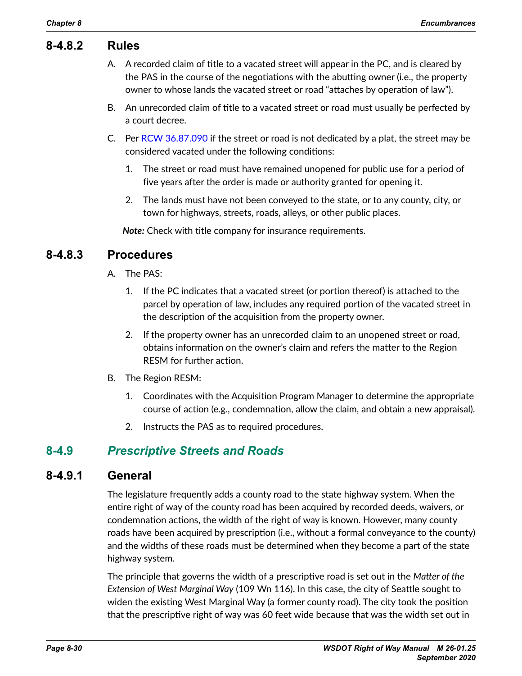#### **8-4.8.2 Rules**

- A. A recorded claim of title to a vacated street will appear in the PC, and is cleared by the PAS in the course of the negotiations with the abutting owner (i.e., the property owner to whose lands the vacated street or road "attaches by operation of law").
- B. An unrecorded claim of title to a vacated street or road must usually be perfected by a court decree.
- C. Per [RCW 36.87.090](http://apps.leg.wa.gov/RCW/default.aspx?cite=36.87.090) if the street or road is not dedicated by a plat, the street may be considered vacated under the following conditions:
	- 1. The street or road must have remained unopened for public use for a period of five years after the order is made or authority granted for opening it.
	- 2. The lands must have not been conveyed to the state, or to any county, city, or town for highways, streets, roads, alleys, or other public places.

*Note:* Check with title company for insurance requirements.

## **8-4.8.3 Procedures**

- A. The PAS:
	- 1. If the PC indicates that a vacated street (or portion thereof) is attached to the parcel by operation of law, includes any required portion of the vacated street in the description of the acquisition from the property owner.
	- 2. If the property owner has an unrecorded claim to an unopened street or road, obtains information on the owner's claim and refers the matter to the Region RESM for further action.
- B. The Region RESM:
	- 1. Coordinates with the Acquisition Program Manager to determine the appropriate course of action (e.g., condemnation, allow the claim, and obtain a new appraisal).
	- 2. Instructs the PAS as to required procedures.

## **8-4.9** *Prescriptive Streets and Roads*

#### **8-4.9.1 General**

The legislature frequently adds a county road to the state highway system. When the entire right of way of the county road has been acquired by recorded deeds, waivers, or condemnation actions, the width of the right of way is known. However, many county roads have been acquired by prescription (i.e., without a formal conveyance to the county) and the widths of these roads must be determined when they become a part of the state highway system.

The principle that governs the width of a prescriptive road is set out in the *Matter of the Extension of West Marginal Way* (109 Wn 116). In this case, the city of Seattle sought to widen the existing West Marginal Way (a former county road). The city took the position that the prescriptive right of way was 60 feet wide because that was the width set out in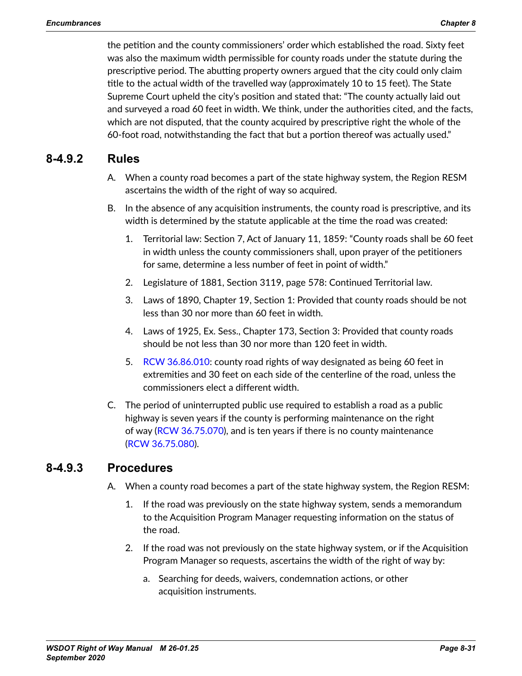the petition and the county commissioners' order which established the road. Sixty feet was also the maximum width permissible for county roads under the statute during the prescriptive period. The abutting property owners argued that the city could only claim title to the actual width of the travelled way (approximately 10 to 15 feet). The State Supreme Court upheld the city's position and stated that: "The county actually laid out and surveyed a road 60 feet in width. We think, under the authorities cited, and the facts, which are not disputed, that the county acquired by prescriptive right the whole of the 60-foot road, notwithstanding the fact that but a portion thereof was actually used."

## **8-4.9.2 Rules**

- A. When a county road becomes a part of the state highway system, the Region RESM ascertains the width of the right of way so acquired.
- B. In the absence of any acquisition instruments, the county road is prescriptive, and its width is determined by the statute applicable at the time the road was created:
	- 1. Territorial law: Section 7, Act of January 11, 1859: "County roads shall be 60 feet in width unless the county commissioners shall, upon prayer of the petitioners for same, determine a less number of feet in point of width."
	- 2. Legislature of 1881, Section 3119, page 578: Continued Territorial law.
	- 3. Laws of 1890, Chapter 19, Section 1: Provided that county roads should be not less than 30 nor more than 60 feet in width.
	- 4. Laws of 1925, Ex. Sess., Chapter 173, Section 3: Provided that county roads should be not less than 30 nor more than 120 feet in width.
	- 5. [RCW 36.86.010](http://apps.leg.wa.gov/RCW/default.aspx?cite=36.68.010): county road rights of way designated as being 60 feet in extremities and 30 feet on each side of the centerline of the road, unless the commissioners elect a different width.
- C. The period of uninterrupted public use required to establish a road as a public highway is seven years if the county is performing maintenance on the right of way [\(RCW 36.75.070](http://apps.leg.wa.gov/RCW/default.aspx?cite=36.75.070)), and is ten years if there is no county maintenance (RCW [36.75.080](http://apps.leg.wa.gov/RCW/default.aspx?cite=36.75.080)).

## **8-4.9.3 Procedures**

- A. When a county road becomes a part of the state highway system, the Region RESM:
	- 1. If the road was previously on the state highway system, sends a memorandum to the Acquisition Program Manager requesting information on the status of the road.
	- 2. If the road was not previously on the state highway system, or if the Acquisition Program Manager so requests, ascertains the width of the right of way by:
		- a. Searching for deeds, waivers, condemnation actions, or other acquisition instruments.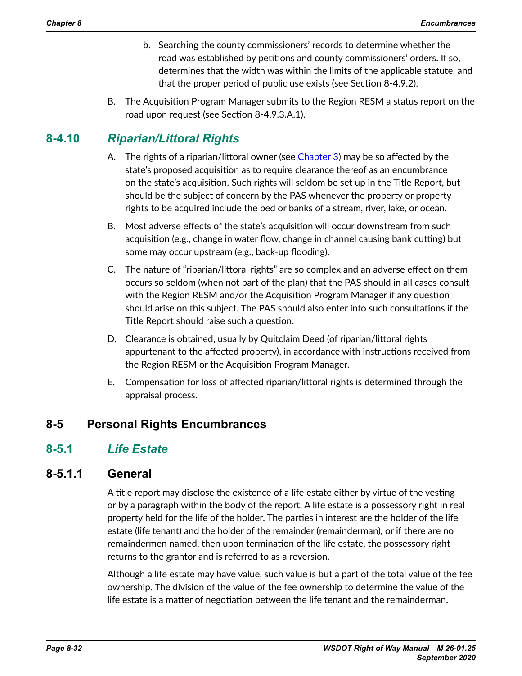- b. Searching the county commissioners' records to determine whether the road was established by petitions and county commissioners' orders. If so, determines that the width was within the limits of the applicable statute, and that the proper period of public use exists (see Section 8-4.9.2).
- B. The Acquisition Program Manager submits to the Region RESM a status report on the road upon request (see Section 8-4.9.3.A.1).

# **8-4.10** *Riparian/Littoral Rights*

- A. The rights of a riparian/littoral owner (see Chapter 3) may be so affected by the state's proposed acquisition as to require clearance thereof as an encumbrance on the state's acquisition. Such rights will seldom be set up in the Title Report, but should be the subject of concern by the PAS whenever the property or property rights to be acquired include the bed or banks of a stream, river, lake, or ocean.
- B. Most adverse effects of the state's acquisition will occur downstream from such acquisition (e.g., change in water flow, change in channel causing bank cutting) but some may occur upstream (e.g., back-up flooding).
- C. The nature of "riparian/littoral rights" are so complex and an adverse effect on them occurs so seldom (when not part of the plan) that the PAS should in all cases consult with the Region RESM and/or the Acquisition Program Manager if any question should arise on this subject. The PAS should also enter into such consultations if the Title Report should raise such a question.
- D. Clearance is obtained, usually by Quitclaim Deed (of riparian/littoral rights appurtenant to the affected property), in accordance with instructions received from the Region RESM or the Acquisition Program Manager.
- E. Compensation for loss of affected riparian/littoral rights is determined through the appraisal process.

## **8-5 Personal Rights Encumbrances**

## **8-5.1** *Life Estate*

## **8-5.1.1 General**

A title report may disclose the existence of a life estate either by virtue of the vesting or by a paragraph within the body of the report. A life estate is a possessory right in real property held for the life of the holder. The parties in interest are the holder of the life estate (life tenant) and the holder of the remainder (remainderman), or if there are no remaindermen named, then upon termination of the life estate, the possessory right returns to the grantor and is referred to as a reversion.

Although a life estate may have value, such value is but a part of the total value of the fee ownership. The division of the value of the fee ownership to determine the value of the life estate is a matter of negotiation between the life tenant and the remainderman.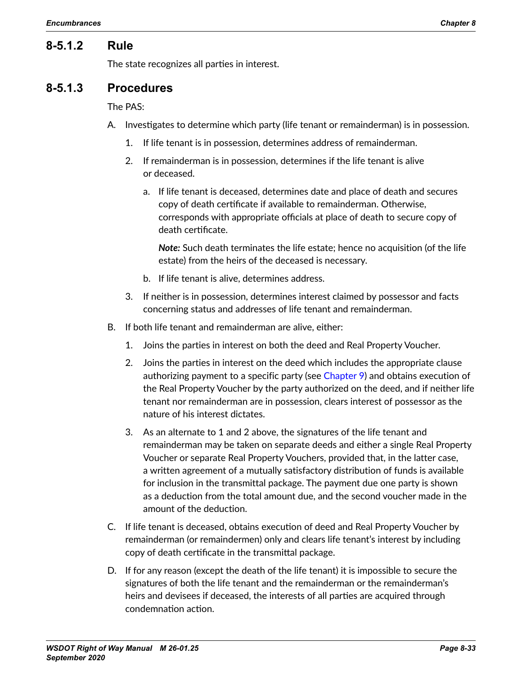## **8-5.1.2 Rule**

The state recognizes all parties in interest.

#### **8-5.1.3 Procedures**

#### The PAS:

- A. Investigates to determine which party (life tenant or remainderman) is in possession.
	- 1. If life tenant is in possession, determines address of remainderman.
	- 2. If remainderman is in possession, determines if the life tenant is alive or deceased.
		- a. If life tenant is deceased, determines date and place of death and secures copy of death certificate if available to remainderman. Otherwise, corresponds with appropriate officials at place of death to secure copy of death certificate.

*Note:* Such death terminates the life estate; hence no acquisition (of the life estate) from the heirs of the deceased is necessary.

- b. If life tenant is alive, determines address.
- 3. If neither is in possession, determines interest claimed by possessor and facts concerning status and addresses of life tenant and remainderman.
- B. If both life tenant and remainderman are alive, either:
	- 1. Joins the parties in interest on both the deed and Real Property Voucher.
	- 2. Joins the parties in interest on the deed which includes the appropriate clause authorizing payment to a specific party (see Chapter 9) and obtains execution of the Real Property Voucher by the party authorized on the deed, and if neither life tenant nor remainderman are in possession, clears interest of possessor as the nature of his interest dictates.
	- 3. As an alternate to 1 and 2 above, the signatures of the life tenant and remainderman may be taken on separate deeds and either a single Real Property Voucher or separate Real Property Vouchers, provided that, in the latter case, a written agreement of a mutually satisfactory distribution of funds is available for inclusion in the transmittal package. The payment due one party is shown as a deduction from the total amount due, and the second voucher made in the amount of the deduction.
- C. If life tenant is deceased, obtains execution of deed and Real Property Voucher by remainderman (or remaindermen) only and clears life tenant's interest by including copy of death certificate in the transmittal package.
- D. If for any reason (except the death of the life tenant) it is impossible to secure the signatures of both the life tenant and the remainderman or the remainderman's heirs and devisees if deceased, the interests of all parties are acquired through condemnation action.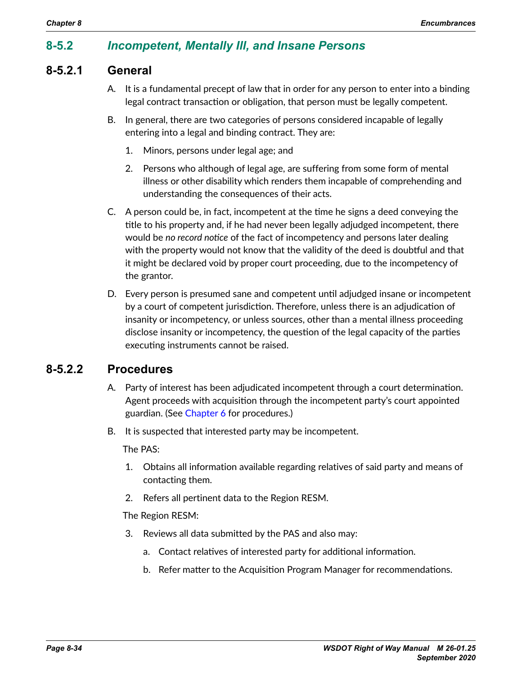## **8-5.2** *Incompetent, Mentally Ill, and Insane Persons*

## **8-5.2.1 General**

- A. It is a fundamental precept of law that in order for any person to enter into a binding legal contract transaction or obligation, that person must be legally competent.
- B. In general, there are two categories of persons considered incapable of legally entering into a legal and binding contract. They are:
	- 1. Minors, persons under legal age; and
	- 2. Persons who although of legal age, are suffering from some form of mental illness or other disability which renders them incapable of comprehending and understanding the consequences of their acts.
- C. A person could be, in fact, incompetent at the time he signs a deed conveying the title to his property and, if he had never been legally adjudged incompetent, there would be *no record notice* of the fact of incompetency and persons later dealing with the property would not know that the validity of the deed is doubtful and that it might be declared void by proper court proceeding, due to the incompetency of the grantor.
- D. Every person is presumed sane and competent until adjudged insane or incompetent by a court of competent jurisdiction. Therefore, unless there is an adjudication of insanity or incompetency, or unless sources, other than a mental illness proceeding disclose insanity or incompetency, the question of the legal capacity of the parties executing instruments cannot be raised.

## **8-5.2.2 Procedures**

- A. Party of interest has been adjudicated incompetent through a court determination. Agent proceeds with acquisition through the incompetent party's court appointed guardian. (See Chapter 6 for procedures.)
- B. It is suspected that interested party may be incompetent.

The PAS:

- 1. Obtains all information available regarding relatives of said party and means of contacting them.
- 2. Refers all pertinent data to the Region RESM.

The Region RESM:

- 3. Reviews all data submitted by the PAS and also may:
	- a. Contact relatives of interested party for additional information.
	- b. Refer matter to the Acquisition Program Manager for recommendations.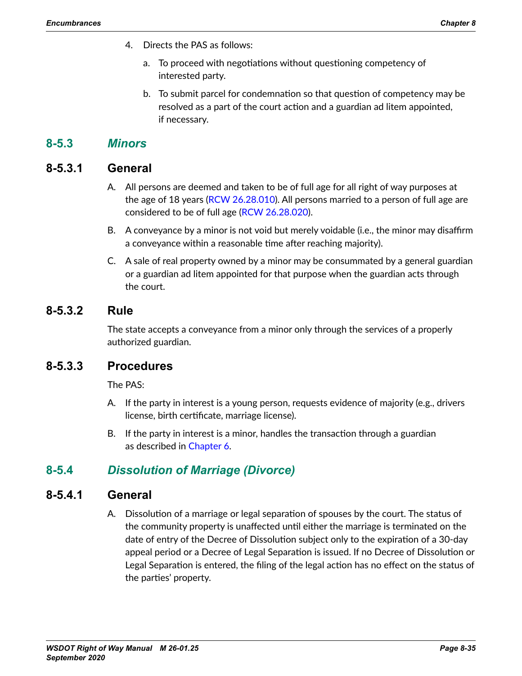- 4. Directs the PAS as follows:
	- a. To proceed with negotiations without questioning competency of interested party.
	- b. To submit parcel for condemnation so that question of competency may be resolved as a part of the court action and a guardian ad litem appointed, if necessary.

## **8-5.3** *Minors*

## **8-5.3.1 General**

- A. All persons are deemed and taken to be of full age for all right of way purposes at the age of 18 years ([RCW 26.28.010\)](http://apps.leg.wa.gov/RCW/default.aspx?cite=26.28.010). All persons married to a person of full age are considered to be of full age [\(RCW 26.28.020\)](http://apps.leg.wa.gov/RCW/default.aspx?cite=26.28.020).
- B. A conveyance by a minor is not void but merely voidable (i.e., the minor may disaffirm a conveyance within a reasonable time after reaching majority).
- C. A sale of real property owned by a minor may be consummated by a general guardian or a guardian ad litem appointed for that purpose when the guardian acts through the court.

## **8-5.3.2 Rule**

The state accepts a conveyance from a minor only through the services of a properly authorized guardian.

## **8-5.3.3 Procedures**

The PAS:

- A. If the party in interest is a young person, requests evidence of majority (e.g., drivers license, birth certificate, marriage license).
- B. If the party in interest is a minor, handles the transaction through a guardian as described in Chapter 6.

## **8-5.4** *Dissolution of Marriage (Divorce)*

## **8-5.4.1 General**

A. Dissolution of a marriage or legal separation of spouses by the court. The status of the community property is unaffected until either the marriage is terminated on the date of entry of the Decree of Dissolution subject only to the expiration of a 30-day appeal period or a Decree of Legal Separation is issued. If no Decree of Dissolution or Legal Separation is entered, the filing of the legal action has no effect on the status of the parties' property.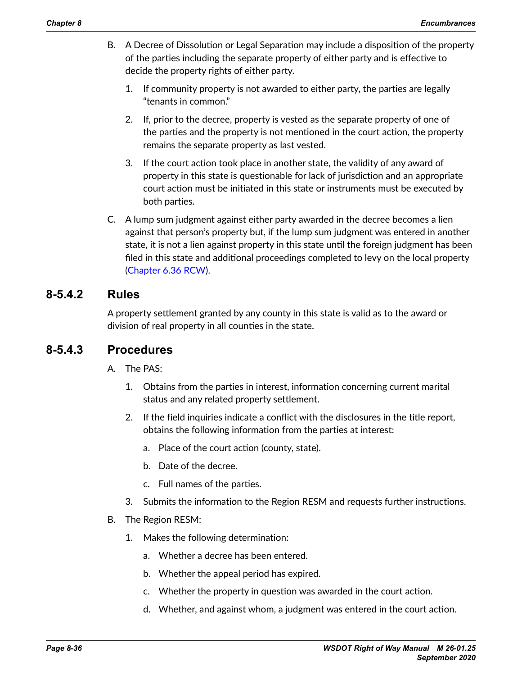- B. A Decree of Dissolution or Legal Separation may include a disposition of the property of the parties including the separate property of either party and is effective to decide the property rights of either party.
	- 1. If community property is not awarded to either party, the parties are legally "tenants in common."
	- 2. If, prior to the decree, property is vested as the separate property of one of the parties and the property is not mentioned in the court action, the property remains the separate property as last vested.
	- 3. If the court action took place in another state, the validity of any award of property in this state is questionable for lack of jurisdiction and an appropriate court action must be initiated in this state or instruments must be executed by both parties.
- C. A lump sum judgment against either party awarded in the decree becomes a lien against that person's property but, if the lump sum judgment was entered in another state, it is not a lien against property in this state until the foreign judgment has been filed in this state and additional proceedings completed to levy on the local property (Chapter [6.36 RCW](http://apps.leg.wa.gov/RCW/default.aspx?cite=6.36)).

## **8-5.4.2 Rules**

A property settlement granted by any county in this state is valid as to the award or division of real property in all counties in the state.

## **8-5.4.3 Procedures**

A. The PAS:

- 1. Obtains from the parties in interest, information concerning current marital status and any related property settlement.
- 2. If the field inquiries indicate a conflict with the disclosures in the title report, obtains the following information from the parties at interest:
	- a. Place of the court action (county, state).
	- b. Date of the decree.
	- c. Full names of the parties.
- 3. Submits the information to the Region RESM and requests further instructions.

#### B. The Region RESM:

- 1. Makes the following determination:
	- a. Whether a decree has been entered.
	- b. Whether the appeal period has expired.
	- c. Whether the property in question was awarded in the court action.
	- d. Whether, and against whom, a judgment was entered in the court action.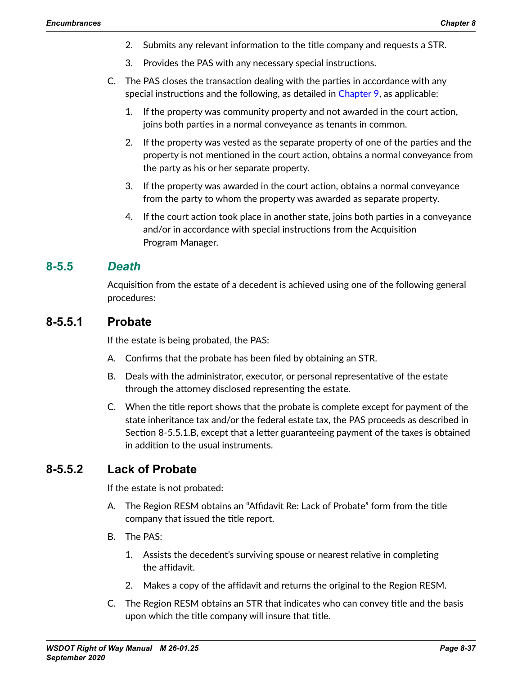- 2. Submits any relevant information to the title company and requests a STR.
- 3. Provides the PAS with any necessary special instructions.
- C. The PAS closes the transaction dealing with the parties in accordance with any special instructions and the following, as detailed in Chapter 9, as applicable:
	- 1. If the property was community property and not awarded in the court action, joins both parties in a normal conveyance as tenants in common.
	- 2. If the property was vested as the separate property of one of the parties and the property is not mentioned in the court action, obtains a normal conveyance from the party as his or her separate property.
	- 3. If the property was awarded in the court action, obtains a normal conveyance from the party to whom the property was awarded as separate property.
	- 4. If the court action took place in another state, joins both parties in a conveyance and/or in accordance with special instructions from the Acquisition Program Manager.

#### **8-5.5** *Death*

<span id="page-36-0"></span>Acquisition from the estate of a decedent is achieved using one of the following general procedures:

#### **8-5.5.1 Probate**

If the estate is being probated, the PAS:

- A. Confirms that the probate has been filed by obtaining an STR.
- B. Deals with the administrator, executor, or personal representative of the estate through the attorney disclosed representing the estate.
- C. When the title report shows that the probate is complete except for payment of the state inheritance tax and/or the federal estate tax, the PAS proceeds as described in Section 8-5.5.1.B, except that a letter guaranteeing payment of the taxes is obtained in addition to the usual instruments.

## **8-5.5.2 Lack of Probate**

If the estate is not probated:

- A. The Region RESM obtains an "Affidavit Re: Lack of Probate" form from the title company that issued the title report.
- B. The PAS:
	- 1. Assists the decedent's surviving spouse or nearest relative in completing the affidavit.
	- 2. Makes a copy of the affidavit and returns the original to the Region RESM.
- C. The Region RESM obtains an STR that indicates who can convey title and the basis upon which the title company will insure that title.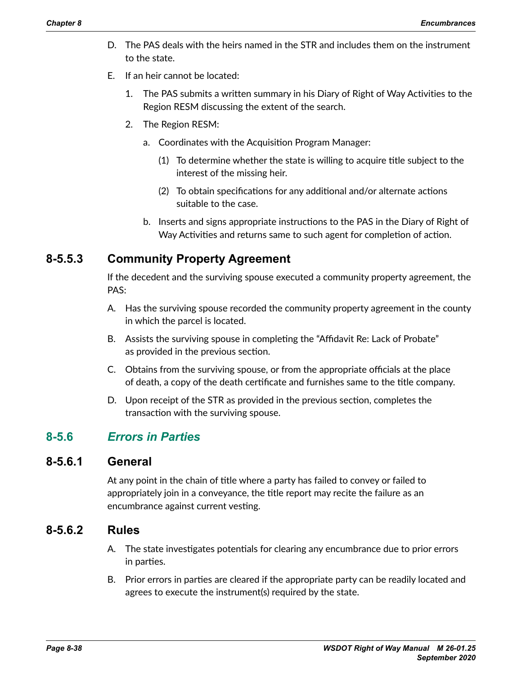- D. The PAS deals with the heirs named in the STR and includes them on the instrument to the state.
- E. If an heir cannot be located:
	- 1. The PAS submits a written summary in his Diary of Right of Way Activities to the Region RESM discussing the extent of the search.
	- 2. The Region RESM:
		- a. Coordinates with the Acquisition Program Manager:
			- (1) To determine whether the state is willing to acquire title subject to the interest of the missing heir.
			- (2) To obtain specifications for any additional and/or alternate actions suitable to the case.
		- b. Inserts and signs appropriate instructions to the PAS in the Diary of Right of Way Activities and returns same to such agent for completion of action.

## **8-5.5.3 Community Property Agreement**

If the decedent and the surviving spouse executed a community property agreement, the PAS:

- A. Has the surviving spouse recorded the community property agreement in the county in which the parcel is located.
- B. Assists the surviving spouse in completing the "Affidavit Re: Lack of Probate" as provided in the previous section.
- C. Obtains from the surviving spouse, or from the appropriate officials at the place of death, a copy of the death certificate and furnishes same to the title company.
- D. Upon receipt of the STR as provided in the previous section, completes the transaction with the surviving spouse.

## **8-5.6** *Errors in Parties*

## **8-5.6.1 General**

At any point in the chain of title where a party has failed to convey or failed to appropriately join in a conveyance, the title report may recite the failure as an encumbrance against current vesting.

## **8-5.6.2 Rules**

- A. The state investigates potentials for clearing any encumbrance due to prior errors in parties.
- B. Prior errors in parties are cleared if the appropriate party can be readily located and agrees to execute the instrument(s) required by the state.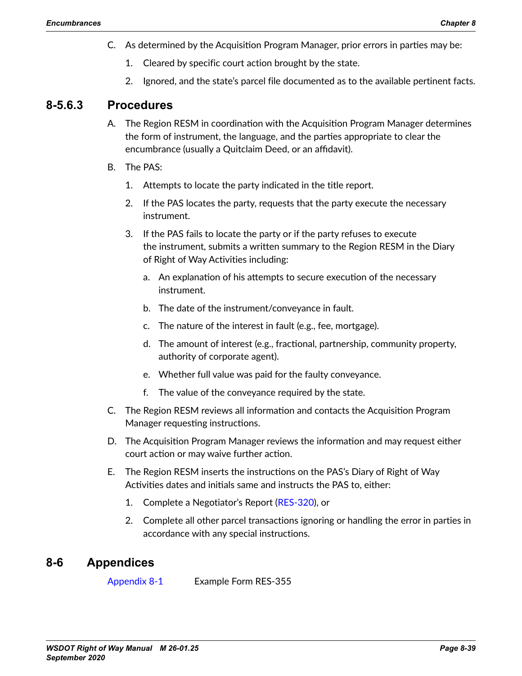- C. As determined by the Acquisition Program Manager, prior errors in parties may be:
	- 1. Cleared by specific court action brought by the state.
	- 2. Ignored, and the state's parcel file documented as to the available pertinent facts.

## **8-5.6.3 Procedures**

- A. The Region RESM in coordination with the Acquisition Program Manager determines the form of instrument, the language, and the parties appropriate to clear the encumbrance (usually a Quitclaim Deed, or an affidavit).
- B. The PAS:
	- 1. Attempts to locate the party indicated in the title report.
	- 2. If the PAS locates the party, requests that the party execute the necessary instrument.
	- 3. If the PAS fails to locate the party or if the party refuses to execute the instrument, submits a written summary to the Region RESM in the Diary of Right of Way Activities including:
		- a. An explanation of his attempts to secure execution of the necessary instrument.
		- b. The date of the instrument/conveyance in fault.
		- c. The nature of the interest in fault (e.g., fee, mortgage).
		- d. The amount of interest (e.g., fractional, partnership, community property, authority of corporate agent).
		- e. Whether full value was paid for the faulty conveyance.
		- f. The value of the conveyance required by the state.
- C. The Region RESM reviews all information and contacts the Acquisition Program Manager requesting instructions.
- D. The Acquisition Program Manager reviews the information and may request either court action or may waive further action.
- E. The Region RESM inserts the instructions on the PAS's Diary of Right of Way Activities dates and initials same and instructs the PAS to, either:
	- 1. Complete a Negotiator's Report ([RES-320](http://wwwi.wsdot.wa.gov/Design/RealEstateServices/AcquisitionForms.htm)), or
	- 2. Complete all other parcel transactions ignoring or handling the error in parties in accordance with any special instructions.

## **8-6 Appendices**

[Appendix](#page-39-0) 8-1 Example Form RES-355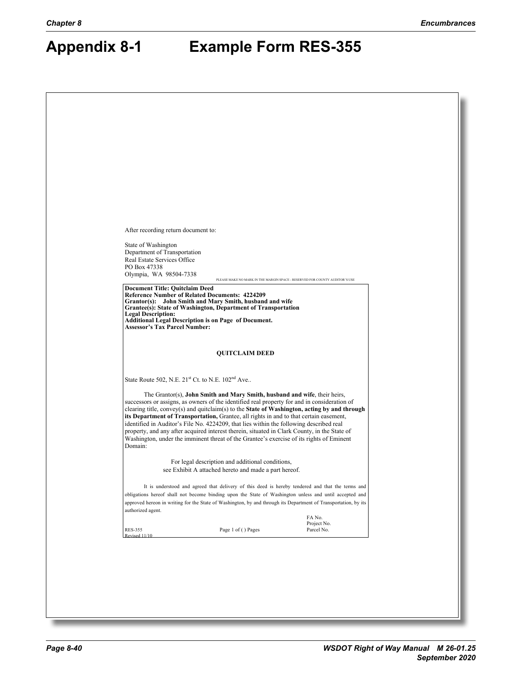# <span id="page-39-0"></span>**Appendix 8-1 Example Form RES-355**

| After recording return document to:                                                                                                                                                                                                                                                                                                                                                                                                                                                                                                                                                                                                                                   |  |
|-----------------------------------------------------------------------------------------------------------------------------------------------------------------------------------------------------------------------------------------------------------------------------------------------------------------------------------------------------------------------------------------------------------------------------------------------------------------------------------------------------------------------------------------------------------------------------------------------------------------------------------------------------------------------|--|
| State of Washington                                                                                                                                                                                                                                                                                                                                                                                                                                                                                                                                                                                                                                                   |  |
| Department of Transportation<br>Real Estate Services Office                                                                                                                                                                                                                                                                                                                                                                                                                                                                                                                                                                                                           |  |
| PO Box 47338<br>Olympia, WA 98504-7338<br>PLEASE MAKE NO MARK IN THE MARGIN SPACE - RESERVED FOR COUNTY AUDITOR'S USE                                                                                                                                                                                                                                                                                                                                                                                                                                                                                                                                                 |  |
| <b>Document Title: Quitclaim Deed</b><br><b>Reference Number of Related Documents: 4224209</b>                                                                                                                                                                                                                                                                                                                                                                                                                                                                                                                                                                        |  |
| Grantor(s): John Smith and Mary Smith, husband and wife<br>Grantee(s): State of Washington, Department of Transportation<br><b>Legal Description:</b>                                                                                                                                                                                                                                                                                                                                                                                                                                                                                                                 |  |
| Additional Legal Description is on Page of Document.<br>Assessor's Tax Parcel Number:                                                                                                                                                                                                                                                                                                                                                                                                                                                                                                                                                                                 |  |
|                                                                                                                                                                                                                                                                                                                                                                                                                                                                                                                                                                                                                                                                       |  |
| <b>QUITCLAIM DEED</b>                                                                                                                                                                                                                                                                                                                                                                                                                                                                                                                                                                                                                                                 |  |
| State Route 502, N.E. 21 <sup>st</sup> Ct. to N.E. 102 <sup>nd</sup> Ave                                                                                                                                                                                                                                                                                                                                                                                                                                                                                                                                                                                              |  |
| The Grantor(s), John Smith and Mary Smith, husband and wife, their heirs,<br>successors or assigns, as owners of the identified real property for and in consideration of<br>clearing title, convey(s) and quitclaim(s) to the State of Washington, acting by and through<br>its Department of Transportation, Grantee, all rights in and to that certain easement,<br>identified in Auditor's File No. 4224209, that lies within the following described real<br>property, and any after acquired interest therein, situated in Clark County, in the State of<br>Washington, under the imminent threat of the Grantee's exercise of its rights of Eminent<br>Domain: |  |
| For legal description and additional conditions,<br>see Exhibit A attached hereto and made a part hereof.                                                                                                                                                                                                                                                                                                                                                                                                                                                                                                                                                             |  |
| It is understood and agreed that delivery of this deed is hereby tendered and that the terms and<br>obligations hereof shall not become binding upon the State of Washington unless and until accepted and<br>approved hereon in writing for the State of Washington, by and through its Department of Transportation, by its<br>authorized agent.                                                                                                                                                                                                                                                                                                                    |  |
| FA No.<br>Project No.<br>Page 1 of () Pages<br>Parcel No.<br><b>RES-355</b>                                                                                                                                                                                                                                                                                                                                                                                                                                                                                                                                                                                           |  |
| Revised 11/10                                                                                                                                                                                                                                                                                                                                                                                                                                                                                                                                                                                                                                                         |  |
|                                                                                                                                                                                                                                                                                                                                                                                                                                                                                                                                                                                                                                                                       |  |
|                                                                                                                                                                                                                                                                                                                                                                                                                                                                                                                                                                                                                                                                       |  |
|                                                                                                                                                                                                                                                                                                                                                                                                                                                                                                                                                                                                                                                                       |  |
|                                                                                                                                                                                                                                                                                                                                                                                                                                                                                                                                                                                                                                                                       |  |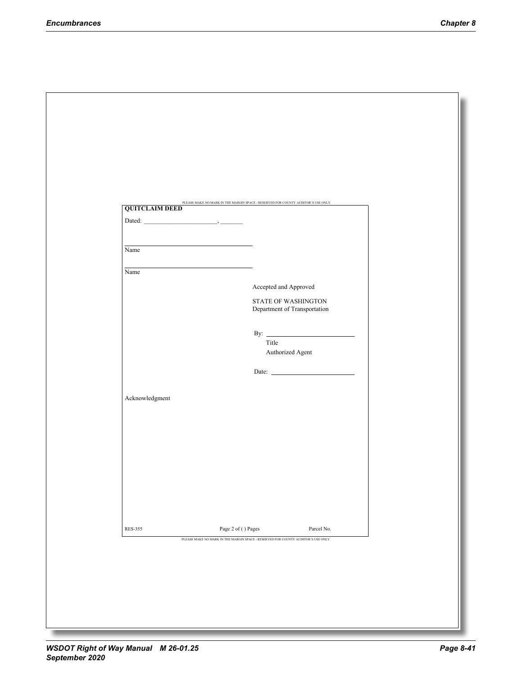| <b>QUITCLAIM DEED</b>                 | PLEASE MAKE NO MARK IN THE MARGIN SPACE - RESERVED FOR COUNTY AUDITOR'S USE ONLY. |
|---------------------------------------|-----------------------------------------------------------------------------------|
|                                       |                                                                                   |
|                                       |                                                                                   |
| Name                                  |                                                                                   |
| Name                                  |                                                                                   |
|                                       | Accepted and Approved                                                             |
|                                       | STATE OF WASHINGTON                                                               |
|                                       | Department of Transportation                                                      |
|                                       | By: $\qquad \qquad$                                                               |
|                                       | Title                                                                             |
|                                       | Authorized Agent                                                                  |
|                                       | Date: $\qquad \qquad$                                                             |
|                                       |                                                                                   |
| Acknowledgment                        |                                                                                   |
|                                       |                                                                                   |
|                                       |                                                                                   |
|                                       |                                                                                   |
|                                       |                                                                                   |
|                                       |                                                                                   |
|                                       |                                                                                   |
|                                       |                                                                                   |
|                                       | Parcel No.                                                                        |
|                                       | PLEASE MAKE NO MARK IN THE MARGIN SPACE - RESERVED FOR COUNTY AUDITOR'S USE ONLY. |
|                                       |                                                                                   |
| Page 2 of ( ) Pages<br><b>RES-355</b> |                                                                                   |